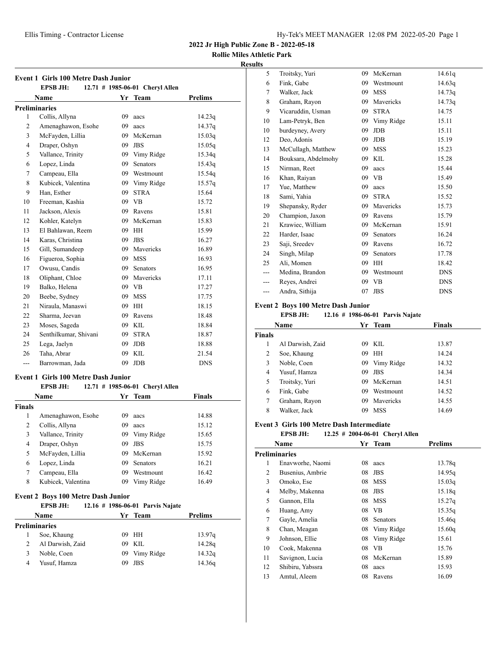# **Rollie Miles Athletic Park**

## **Results**

|                      | <b>Event 1 Girls 100 Metre Dash Junior</b> |    |                                 |                |
|----------------------|--------------------------------------------|----|---------------------------------|----------------|
|                      | <b>EPSB JH:</b>                            |    | 12.71 # 1985-06-01 Cheryl Allen |                |
|                      | Name                                       |    | Yr Team                         | <b>Prelims</b> |
| <b>Preliminaries</b> |                                            |    |                                 |                |
| 1                    | Collis, Allyna                             | 09 | aacs                            | 14.23q         |
| 2                    | Amenaghawon, Esohe                         | 09 | aacs                            | 14.37q         |
| 3                    | McFayden, Lillia                           | 09 | McKernan                        | 15.03q         |
| $\overline{4}$       | Draper, Oshyn                              | 09 | <b>JBS</b>                      | 15.05q         |
| 5                    | Vallance, Trinity                          | 09 | Vimy Ridge                      | 15.34q         |
| 6                    | Lopez, Linda                               | 09 | <b>Senators</b>                 | 15.43q         |
| 7                    | Campeau, Ella                              |    | 09 Westmount                    | 15.54q         |
| 8                    | Kubicek, Valentina                         |    | 09 Vimy Ridge                   | 15.57q         |
| 9                    | Han, Esther                                | 09 | <b>STRA</b>                     | 15.64          |
| 10                   | Freeman, Kashia                            | 09 | <b>VB</b>                       | 15.72          |
| 11                   | Jackson, Alexis                            | 09 | Ravens                          | 15.81          |
| 12                   | Kohler, Katelyn                            | 09 | McKernan                        | 15.83          |
| 13                   | El Bahlawan, Reem                          | 09 | <b>HH</b>                       | 15.99          |
| 14                   | Karas, Christina                           | 09 | <b>JBS</b>                      | 16.27          |
| 15                   | Gill, Sumandeep                            | 09 | Mavericks                       | 16.89          |
| 16                   | Figueroa, Sophia                           |    | 09 MSS                          | 16.93          |
| 17                   | Owusu, Candis                              | 09 | Senators                        | 16.95          |
| 18                   | Oliphant, Chloe                            |    | 09 Mavericks                    | 17.11          |
| 19                   | Balko, Helena                              |    | 09 VB                           | 17.27          |
| 20                   | Beebe, Sydney                              | 09 | <b>MSS</b>                      | 17.75          |
| 21                   | Niraula, Manaswi                           | 09 | <b>HH</b>                       | 18.15          |
| 22                   | Sharma, Jeevan                             | 09 | Ravens                          | 18.48          |
| 23                   | Moses, Sageda                              | 09 | KIL                             | 18.84          |
| 24                   | Senthilkumar, Shivani                      | 09 | <b>STRA</b>                     | 18.87          |
| 25                   | Lega, Jaelyn                               | 09 | <b>JDB</b>                      | 18.88          |
| 26                   | Taha, Abrar                                | 09 | <b>KIL</b>                      | 21.54          |
| ---                  | Barrowman, Jada                            | 09 | JDB                             | <b>DNS</b>     |

# **Event 1 Girls 100 Metre Dash Junior**

# **EPSB JH: 12.71 # 1985-06-01 Cheryl Allen**

| <b>Name</b> |                    | Yr Team |                 | <b>Finals</b> |  |
|-------------|--------------------|---------|-----------------|---------------|--|
| Finals      |                    |         |                 |               |  |
| 1           | Amenaghawon, Esohe | 09      | aacs            | 14.88         |  |
| 2           | Collis, Allyna     | 09      | aacs            | 15.12         |  |
| 3           | Vallance, Trinity  | 09      | Vimy Ridge      | 15.65         |  |
| 4           | Draper, Oshyn      | 09      | <b>JBS</b>      | 15.75         |  |
| 5           | McFayden, Lillia   | 09      | McKernan        | 15.92         |  |
| 6           | Lopez, Linda       | 09      | <b>Senators</b> | 16.21         |  |
| 7           | Campeau, Ella      | 09      | Westmount       | 16.42         |  |
| 8           | Kubicek, Valentina | 09      | Vimy Ridge      | 16.49         |  |
|             |                    |         |                 |               |  |

# **Event 2 Boys 100 Metre Dash Junior**

## **EPSB JH: 12.16 # 1986-06-01 Parvis Najate**

|                      | <b>Name</b>      |    | Yr Team       | Prelims |
|----------------------|------------------|----|---------------|---------|
| <b>Preliminaries</b> |                  |    |               |         |
|                      | Soe, Khaung      |    | 09 HH         | 13.97q  |
| 2                    | Al Darwish, Zaid |    | 09 KIL        | 14.28q  |
| 3                    | Noble, Coen      |    | 09 Vimy Ridge | 14.32q  |
| 4                    | Yusuf, Hamza     | 09 | JBS           | 14.36g  |

| 5   | Troitsky, Yuri      | 09 | McKernan    | 14.61q     |
|-----|---------------------|----|-------------|------------|
| 6   | Fink, Gabe          | 09 | Westmount   | 14.63q     |
| 7   | Walker, Jack        | 09 | <b>MSS</b>  | 14.73q     |
| 8   | Graham, Rayon       | 09 | Mavericks   | 14.73q     |
| 9   | Vicaruddin, Usman   | 09 | <b>STRA</b> | 14.75      |
| 10  | Lam-Petryk, Ben     | 09 | Vimy Ridge  | 15.11      |
| 10  | burdeyney, Avery    | 09 | <b>JDB</b>  | 15.11      |
| 12  | Deo, Adonis         | 09 | <b>JDB</b>  | 15.19      |
| 13  | McCullagh, Matthew  | 09 | <b>MSS</b>  | 15.23      |
| 14  | Bouksara, Abdelmohy | 09 | KIL         | 15.28      |
| 15  | Nirman, Reet        | 09 | aacs        | 15.44      |
| 16  | Khan, Raiyan        | 09 | <b>VB</b>   | 15.49      |
| 17  | Yue, Matthew        | 09 | aacs        | 15.50      |
| 18  | Sami, Yahia         | 09 | <b>STRA</b> | 15.52      |
| 19  | Shepansky, Ryder    | 09 | Mavericks   | 15.73      |
| 20  | Champion, Jaxon     | 09 | Ravens      | 15.79      |
| 21  | Krawiec, William    | 09 | McKernan    | 15.91      |
| 22  | Harder, Isaac       | 09 | Senators    | 16.24      |
| 23  | Saji, Sreedev       | 09 | Ravens      | 16.72      |
| 24  | Singh, Milap        | 09 | Senators    | 17.78      |
| 25  | Ali, Momen          | 09 | HH          | 18.42      |
| --- | Medina, Brandon     | 09 | Westmount   | <b>DNS</b> |
| --- | Reyes, Andrei       | 09 | <b>VB</b>   | <b>DNS</b> |
| --- | Andra, Sithija      | 07 | <b>JBS</b>  | <b>DNS</b> |

# **Event 2 Boys 100 Metre Dash Junior<br><b>EPSB JH:** 12.16 # 1986-06

#### **EPSB JH: 12.16 # 1986-06-01 Parvis Najate**

|               | Name             |    | Yr Team    | Finals |
|---------------|------------------|----|------------|--------|
| <b>Finals</b> |                  |    |            |        |
|               | Al Darwish, Zaid | 09 | KIL.       | 13.87  |
| 2             | Soe, Khaung      | 09 | HH         | 14.24  |
| 3             | Noble, Coen      | 09 | Vimy Ridge | 14.32  |
| 4             | Yusuf, Hamza     | 09 | <b>JBS</b> | 14.34  |
| 5             | Troitsky, Yuri   | 09 | McKernan   | 14.51  |
| 6             | Fink, Gabe       | 09 | Westmount  | 14.52  |
| 7             | Graham, Rayon    | 09 | Mavericks  | 14.55  |
| 8             | Walker, Jack     | 09 | <b>MSS</b> | 14.69  |

#### **Event 3 Girls 100 Metre Dash Intermediate**

**EPSB JH: 12.25 # 2004-06-01 Cheryl Allen**

|    | Name             | Yr | <b>Team</b> | <b>Prelims</b> |
|----|------------------|----|-------------|----------------|
|    | Preliminaries    |    |             |                |
| 1  | Enavworhe, Naomi | 08 | aacs        | 13.78q         |
| 2  | Busenius, Ambrie | 08 | <b>JBS</b>  | 14.95g         |
| 3  | Omoko, Ese       | 08 | MSS         | 15.03q         |
| 4  | Melby, Makenna   | 08 | <b>JBS</b>  | 15.18q         |
| 5  | Gannon, Ella     | 08 | <b>MSS</b>  | 15.27q         |
| 6  | Huang, Amy       | 08 | VB          | 15.35q         |
| 7  | Gayle, Amelia    | 08 | Senators    | 15.46g         |
| 8  | Chan, Meagan     | 08 | Vimy Ridge  | 15.60q         |
| 9  | Johnson, Ellie   | 08 | Vimy Ridge  | 15.61          |
| 10 | Cook, Makenna    | 08 | VB          | 15.76          |
| 11 | Savignon, Lucia  | 08 | McKernan    | 15.89          |
| 12 | Shibiru, Yabssra | 08 | aacs        | 15.93          |
| 13 | Amtul, Aleem     | 08 | Ravens      | 16.09          |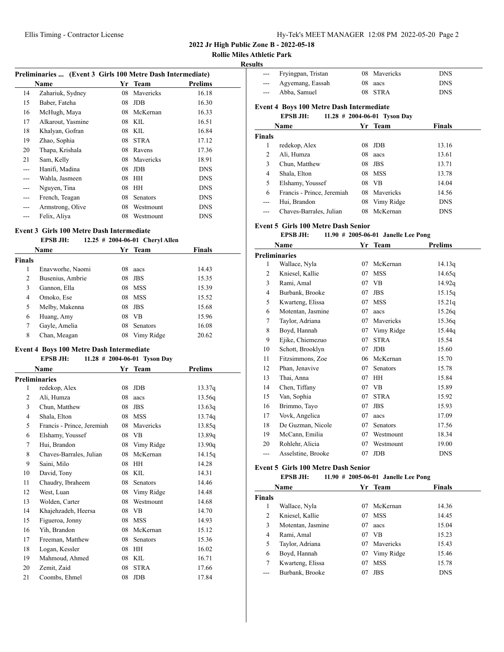**Rollie Miles Athletic Park**

## **Results**

| Preliminaries  (Event 3 Girls 100 Metre Dash Intermediate) |                   |    |             |            |
|------------------------------------------------------------|-------------------|----|-------------|------------|
|                                                            | Name              | Yr | Team        | Prelims    |
| 14                                                         | Zahariuk, Sydney  | 08 | Mavericks   | 16.18      |
| 15                                                         | Baber, Fateha     | 08 | JDB         | 16.30      |
| 16                                                         | McHugh, Maya      | 08 | McKernan    | 16.33      |
| 17                                                         | Alkarout, Yasmine | 08 | KIL         | 16.51      |
| 18                                                         | Khalyan, Gofran   | 08 | KIL         | 16.84      |
| 19                                                         | Zhao, Sophia      | 08 | <b>STRA</b> | 17.12      |
| 20                                                         | Thapa, Krishala   | 08 | Ravens      | 17.36      |
| 21                                                         | Sam, Kelly        | 08 | Mavericks   | 18.91      |
| $---$                                                      | Hanifi, Madina    | 08 | JDB         | <b>DNS</b> |
| ---                                                        | Wahla, Jasmeen    | 08 | HH          | <b>DNS</b> |
| ---                                                        | Nguyen, Tina      | 08 | HH          | <b>DNS</b> |
| $---$                                                      | French, Teagan    | 08 | Senators    | <b>DNS</b> |
| ---                                                        | Armstrong, Olive  | 08 | Westmount   | <b>DNS</b> |
|                                                            | Felix, Aliya      | 08 | Westmount   | <b>DNS</b> |

# **Event 3 Girls 100 Metre Dash Intermediate**

## **EPSB JH: 12.25 # 2004-06-01 Cheryl Allen**

| <b>Name</b>   |                  |    | Yr Team         | Finals |
|---------------|------------------|----|-----------------|--------|
| <b>Finals</b> |                  |    |                 |        |
| 1             | Enavworhe, Naomi | 08 | aacs            | 14.43  |
| 2             | Busenius, Ambrie | 08 | <b>JBS</b>      | 15.35  |
| 3             | Gannon, Ella     | 08 | MSS             | 15.39  |
| 4             | Omoko, Ese       | 08 | <b>MSS</b>      | 15.52  |
| 5             | Melby, Makenna   | 08 | JBS             | 15.68  |
| 6             | Huang, Amy       | 08 | <b>VB</b>       | 15.96  |
| 7             | Gayle, Amelia    | 08 | <b>Senators</b> | 16.08  |
| 8             | Chan, Meagan     | 08 | Vimy Ridge      | 20.62  |

# **Event 4 Boys 100 Metre Dash Intermediate**

#### **EPSB JH: 11.28 # 2004-06-01 Tyson Day**

| Name           |                            | Yr | <b>Team</b>     | <b>Prelims</b> |  |
|----------------|----------------------------|----|-----------------|----------------|--|
|                | Preliminaries              |    |                 |                |  |
| 1              | redekop, Alex              | 08 | <b>JDB</b>      | 13.37q         |  |
| 2              | Ali, Humza                 | 08 | aacs            | 13.56q         |  |
| 3              | Chun, Matthew              | 08 | <b>JBS</b>      | 13.63q         |  |
| $\overline{4}$ | Shala, Elton               | 08 | <b>MSS</b>      | 13.74q         |  |
| 5              | Francis - Prince, Jeremiah | 08 | Mavericks       | 13.85q         |  |
| 6              | Elshamy, Youssef           | 08 | VB              | 13.89q         |  |
| 7              | Hui, Brandon               | 08 | Vimy Ridge      | 13.90q         |  |
| 8              | Chaves-Barrales, Julian    | 08 | McKernan        | 14.15q         |  |
| 9              | Saini, Milo                | 08 | HH              | 14.28          |  |
| 10             | David, Tony                | 08 | <b>KIL</b>      | 14.31          |  |
| 11             | Chaudry, Ibraheem          | 08 | <b>Senators</b> | 14.46          |  |
| 12             | West, Luan                 | 08 | Vimy Ridge      | 14.48          |  |
| 13             | Wolden, Carter             | 08 | Westmount       | 14.68          |  |
| 14             | Khajehzadeh, Heersa        | 08 | <b>VB</b>       | 14.70          |  |
| 15             | Figueroa, Jonny            | 08 | <b>MSS</b>      | 14.93          |  |
| 16             | Yih, Brandon               | 08 | McKernan        | 15.12          |  |
| 17             | Freeman, Matthew           | 08 | <b>Senators</b> | 15.36          |  |
| 18             | Logan, Kessler             | 08 | HH              | 16.02          |  |
| 19             | Mahmoud, Ahmed             | 08 | KIL             | 16.71          |  |
| 20             | Zemit, Zaid                | 08 | <b>STRA</b>     | 17.66          |  |
| 21             | Coombs, Ehmel              | 08 | <b>JDB</b>      | 17.84          |  |

|                                                    | Fryingpan, Tristan         | 08 | Mavericks   | <b>DNS</b>    |  |
|----------------------------------------------------|----------------------------|----|-------------|---------------|--|
| ---                                                | Agyemang, Eassah           | 08 | aacs        | <b>DNS</b>    |  |
| ---                                                | Abba, Samuel               | 08 | <b>STRA</b> | <b>DNS</b>    |  |
| <b>Event 4 Boys 100 Metre Dash Intermediate</b>    |                            |    |             |               |  |
| <b>EPSB JH:</b><br>11.28 $\#$ 2004-06-01 Tyson Day |                            |    |             |               |  |
|                                                    | Name                       |    | Yr Team     | <b>Finals</b> |  |
| <b>Finals</b>                                      |                            |    |             |               |  |
| 1                                                  | redekop, Alex              | 08 | <b>JDB</b>  | 13.16         |  |
| 2                                                  | Ali, Humza                 | 08 | aacs        | 13.61         |  |
| 3                                                  | Chun, Matthew              | 08 | <b>JBS</b>  | 13.71         |  |
| 4                                                  | Shala, Elton               | 08 | MSS         | 13.78         |  |
| 5                                                  | Elshamy, Youssef           | 08 | VB.         | 14.04         |  |
| 6                                                  | Francis - Prince, Jeremiah | 08 | Mavericks   | 14.56         |  |
| ---                                                | Hui, Brandon               | 08 | Vimy Ridge  | <b>DNS</b>    |  |
|                                                    | Chaves-Barrales, Julian    | 08 | McKernan    | <b>DNS</b>    |  |

#### **Event 5 Girls 100 Metre Dash Senior**

#### **EPSB JH: 11.90 # 2005-06-01 Janelle Lee Pong**

|                | Name               | Yr | <b>Team</b> | <b>Prelims</b> |
|----------------|--------------------|----|-------------|----------------|
|                | Preliminaries      |    |             |                |
| 1              | Wallace, Nyla      | 07 | McKernan    | 14.13q         |
| 2              | Kniesel, Kallie    | 07 | <b>MSS</b>  | 14.65q         |
| 3              | Rami, Amal         | 07 | VB          | 14.92q         |
| $\overline{4}$ | Burbank, Brooke    | 07 | <b>JBS</b>  | 15.15q         |
| 5              | Kwarteng, Elissa   | 07 | <b>MSS</b>  | 15.21q         |
| 6              | Motentan, Jasmine  | 07 | aacs        | 15.26q         |
| 7              | Taylor, Adriana    | 07 | Mavericks   | 15.36q         |
| 8              | Boyd, Hannah       | 07 | Vimy Ridge  | 15.44q         |
| 9              | Ejike, Chiemezuo   | 07 | <b>STRA</b> | 15.54          |
| 10             | Schott, Brooklyn   | 07 | <b>JDB</b>  | 15.60          |
| 11             | Fitzsimmons, Zoe   | 06 | McKernan    | 15.70          |
| 12             | Phan, Jenavive     | 07 | Senators    | 15.78          |
| 13             | Thai, Anna         | 07 | HH          | 15.84          |
| 14             | Chen, Tiffany      | 07 | <b>VB</b>   | 15.89          |
| 15             | Van, Sophia        | 07 | <b>STRA</b> | 15.92          |
| 16             | Brimmo, Tayo       | 07 | JBS         | 15.93          |
| 17             | Vovk, Angelica     | 07 | aacs        | 17.09          |
| 18             | De Guzman, Nicole  | 07 | Senators    | 17.56          |
| 19             | McCann, Emilia     | 07 | Westmount   | 18.34          |
| 20             | Rohlehr, Alicia    | 07 | Westmount   | 19.00          |
| ---            | Asselstine, Brooke | 07 | <b>JDB</b>  | <b>DNS</b>     |

#### **Event 5 Girls 100 Metre Dash Senior**

| EPSB JH: |  |                                        |
|----------|--|----------------------------------------|
|          |  | 11.90 $\#$ 2005-06-01 Janelle Lee Pong |

|               | Name              |     | Yr Team       | <b>Finals</b> |  |
|---------------|-------------------|-----|---------------|---------------|--|
| <b>Finals</b> |                   |     |               |               |  |
| 1             | Wallace, Nyla     | 07. | McKernan      | 14.36         |  |
| 2             | Kniesel, Kallie   | 07  | <b>MSS</b>    | 14.45         |  |
| 3             | Motentan, Jasmine | 07  | aacs          | 15.04         |  |
| 4             | Rami, Amal        | 07  | - VB          | 15.23         |  |
| 5             | Taylor, Adriana   |     | 07 Mavericks  | 15.43         |  |
| 6             | Boyd, Hannah      |     | 07 Vimy Ridge | 15.46         |  |
| 7             | Kwarteng, Elissa  | 07  | <b>MSS</b>    | 15.78         |  |
|               | Burbank, Brooke   | 07  | <b>JBS</b>    | <b>DNS</b>    |  |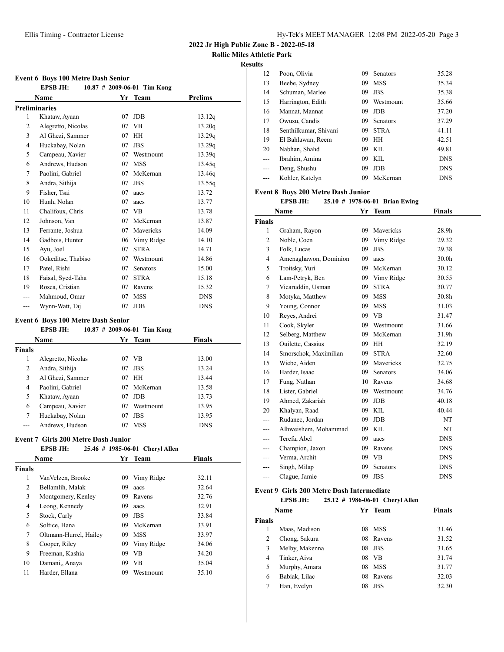**Rollie Miles Athletic Park**

## **Results**

|    | <b>Event 6 Boys 100 Metre Dash Senior</b><br><b>EPSB JH:</b> |    | $10.87$ # 2009-06-01 Tim Kong |            |
|----|--------------------------------------------------------------|----|-------------------------------|------------|
|    | Name                                                         |    | Yr Team                       | Prelims    |
|    | <b>Preliminaries</b>                                         |    |                               |            |
| 1  | Khataw, Ayaan                                                | 07 | JDB.                          | 13.12q     |
| 2  | Alegretto, Nicolas                                           | 07 | <b>VB</b>                     | 13.20q     |
| 3  | Al Ghezi, Sammer                                             | 07 | HH                            | 13.29q     |
| 4  | Huckabay, Nolan                                              | 07 | <b>JBS</b>                    | 13.29q     |
| 5  | Campeau, Xavier                                              | 07 | Westmount                     | 13.39q     |
| 6  | Andrews, Hudson                                              | 07 | <b>MSS</b>                    | 13.45q     |
| 7  | Paolini, Gabriel                                             | 07 | McKernan                      | 13.46g     |
| 8  | Andra, Sithija                                               | 07 | <b>JBS</b>                    | 13.55q     |
| 9  | Fisher, Tsai                                                 | 07 | aacs                          | 13.72      |
| 10 | Hunh, Nolan                                                  | 07 | aacs                          | 13.77      |
| 11 | Chalifoux, Chris                                             | 07 | VB                            | 13.78      |
| 12 | Johnson, Van                                                 | 07 | McKernan                      | 13.87      |
| 13 | Ferrante, Joshua                                             | 07 | Mavericks                     | 14.09      |
| 14 | Gadbois, Hunter                                              | 06 | Vimy Ridge                    | 14.10      |
| 15 | Ayu, Joel                                                    | 07 | <b>STRA</b>                   | 14.71      |
| 16 | Ookeditse, Thabiso                                           | 07 | Westmount                     | 14.86      |
| 17 | Patel, Rishi                                                 | 07 | <b>Senators</b>               | 15.00      |
| 18 | Faisal, Syed-Taha                                            | 07 | <b>STRA</b>                   | 15.18      |
| 19 | Rosca, Cristian                                              | 07 | Ravens                        | 15.32      |
|    | Mahmoud, Omar                                                | 07 | <b>MSS</b>                    | <b>DNS</b> |
|    | Wynn-Watt, Taj                                               | 07 | <b>JDB</b>                    | <b>DNS</b> |

## **Event 6 Boys 100 Metre Dash Senior**

#### **EPSB JH: 10.87 # 2009-06-01 Tim Kong**

| <b>Name</b>    |                    |    | Yr Team    | <b>Finals</b> |  |
|----------------|--------------------|----|------------|---------------|--|
| Finals         |                    |    |            |               |  |
| 1              | Alegretto, Nicolas | 07 | <b>VB</b>  | 13.00         |  |
| $\overline{2}$ | Andra, Sithija     | 07 | <b>JBS</b> | 13.24         |  |
| 3              | Al Ghezi, Sammer   | 07 | HН         | 13.44         |  |
| 4              | Paolini, Gabriel   | 07 | McKernan   | 13.58         |  |
| 5              | Khataw, Ayaan      | 07 | <b>JDB</b> | 13.73         |  |
| 6              | Campeau, Xavier    | 07 | Westmount  | 13.95         |  |
| 7              | Huckabay, Nolan    | 07 | <b>JBS</b> | 13.95         |  |
|                | Andrews, Hudson    | 07 | MSS        | <b>DNS</b>    |  |

#### **Event 7 Girls 200 Metre Dash Junior EPSB JH: 25.46 # 1985-06-01 Cheryl Allen**

| егэр эп:<br>25.40 # 1965-00-01 UIEFVIAIIEII |                        |    |            |               |  |  |
|---------------------------------------------|------------------------|----|------------|---------------|--|--|
|                                             | <b>Name</b>            |    | Yr Team    | <b>Finals</b> |  |  |
| <b>Finals</b>                               |                        |    |            |               |  |  |
| 1                                           | VanVelzen, Brooke      | 09 | Vimy Ridge | 32.11         |  |  |
| 2                                           | Bellamlih, Malak       | 09 | aacs       | 32.64         |  |  |
| 3                                           | Montgomery, Kenley     | 09 | Ravens     | 32.76         |  |  |
| 4                                           | Leong, Kennedy         | 09 | aacs       | 32.91         |  |  |
| 5                                           | Stock, Carly           | 09 | <b>JBS</b> | 33.84         |  |  |
| 6                                           | Soltice, Hana          | 09 | McKernan   | 33.91         |  |  |
| 7                                           | Oltmann-Hurrel, Hailey | 09 | <b>MSS</b> | 33.97         |  |  |
| 8                                           | Cooper, Riley          | 09 | Vimy Ridge | 34.06         |  |  |
| 9                                           | Freeman, Kashia        | 09 | <b>VB</b>  | 34.20         |  |  |
| 10                                          | Damani,, Anaya         | 09 | <b>VB</b>  | 35.04         |  |  |
| 11                                          | Harder, Ellana         | 09 | Westmount  | 35.10         |  |  |
|                                             |                        |    |            |               |  |  |

| lls   |                       |    |                 |            |
|-------|-----------------------|----|-----------------|------------|
| 12    | Poon, Olivia          | 09 | <b>Senators</b> | 35.28      |
| 13    | Beebe, Sydney         | 09 | <b>MSS</b>      | 35.34      |
| 14    | Schuman, Marlee       | 09 | <b>JBS</b>      | 35.38      |
| 15    | Harrington, Edith     | 09 | Westmount       | 35.66      |
| 16    | Mannat, Mannat        | 09 | <b>JDB</b>      | 37.20      |
| 17    | Owusu, Candis         | 09 | <b>Senators</b> | 37.29      |
| 18    | Senthilkumar, Shivani | 09 | <b>STRA</b>     | 41.11      |
| 19    | El Bahlawan, Reem     | 09 | HH              | 42.51      |
| 20    | Nabhan, Shahd         | 09 | KIL.            | 49.81      |
| $---$ | Ibrahim, Amina        | 09 | KIL.            | <b>DNS</b> |
| ---   | Deng, Shushu          | 09 | <b>JDB</b>      | <b>DNS</b> |
| ---   | Kohler, Katelyn       | 09 | McKernan        | <b>DNS</b> |

## **Event 8 Boys 200 Metre Dash Junior**

# **EPSB JH: 25.10 # 1978-06-01 Brian Ewing**

|                | Name                  | Yr  | <b>Team</b>     | Finals            |  |
|----------------|-----------------------|-----|-----------------|-------------------|--|
| <b>Finals</b>  |                       |     |                 |                   |  |
| 1              | Graham, Rayon         | 09  | Mavericks       | 28.9h             |  |
| 2              | Noble, Coen           | 09  | Vimy Ridge      | 29.32             |  |
| 3              | Folk, Lucas           | 09  | <b>JBS</b>      | 29.38             |  |
| $\overline{4}$ | Amenaghawon, Dominion | 09  | aacs            | 30.0 <sub>h</sub> |  |
| 5              | Troitsky, Yuri        | 09  | McKernan        | 30.12             |  |
| 6              | Lam-Petryk, Ben       | 09  | Vimy Ridge      | 30.55             |  |
| 7              | Vicaruddin, Usman     | 09  | <b>STRA</b>     | 30.77             |  |
| 8              | Motyka, Matthew       | 09  | <b>MSS</b>      | 30.8h             |  |
| 9              | Young, Connor         | 09  | <b>MSS</b>      | 31.03             |  |
| 10             | Reyes, Andrei         |     | 09 VB           | 31.47             |  |
| 11             | Cook, Skyler          | 09  | Westmount       | 31.66             |  |
| 12             | Selberg, Matthew      | 09  | McKernan        | 31.9h             |  |
| 13             | Ouilette, Cassius     | 09  | <b>HH</b>       | 32.19             |  |
| 14             | Smorschok, Maximilian | 09  | <b>STRA</b>     | 32.60             |  |
| 15             | Wiebe, Aiden          | 09  | Mavericks       | 32.75             |  |
| 16             | Harder, Isaac         | 09. | <b>Senators</b> | 34.06             |  |
| 17             | Fung, Nathan          | 10  | Ravens          | 34.68             |  |
| 18             | Lister, Gabriel       | 09  | Westmount       | 34.76             |  |
| 19             | Ahmed, Zakariah       | 09  | <b>JDB</b>      | 40.18             |  |
| 20             | Khalyan, Raad         | 09  | KIL             | 40.44             |  |
| ---            | Rudanec, Jordan       | 09  | <b>JDB</b>      | NT                |  |
|                | Alhweishem, Mohammad  | 09  | <b>KIL</b>      | NT                |  |
| ---            | Terefa, Abel          | 09  | aacs            | <b>DNS</b>        |  |
| ---            | Champion, Jaxon       | 09  | Ravens          | <b>DNS</b>        |  |
| ---            | Verma, Archit         |     | 09 VB           | <b>DNS</b>        |  |
|                | Singh, Milap          | 09  | Senators        | <b>DNS</b>        |  |
| ---            | Clague, Jamie         | 09  | <b>JBS</b>      | <b>DNS</b>        |  |

#### **Event 9 Girls 200 Metre Dash Intermediate**

|               | <b>EPSB JH:</b> |    | 25.12 # 1986-06-01 Cheryl Allen |        |
|---------------|-----------------|----|---------------------------------|--------|
|               | <b>Name</b>     |    | Yr Team                         | Finals |
| <b>Finals</b> |                 |    |                                 |        |
| 1             | Maas, Madison   | 08 | MSS                             | 31.46  |
| 2             | Chong, Sakura   |    | 08 Ravens                       | 31.52  |
| 3             | Melby, Makenna  |    | $08$ JBS                        | 31.65  |
| 4             | Tinker, Aiva    | 08 | VB                              | 31.74  |
| 5             | Murphy, Amara   |    | 08 MSS                          | 31.77  |
| 6             | Babiak, Lilac   | 08 | Ravens                          | 32.03  |
| 7             | Han, Evelyn     | 08 | <b>JBS</b>                      | 32.30  |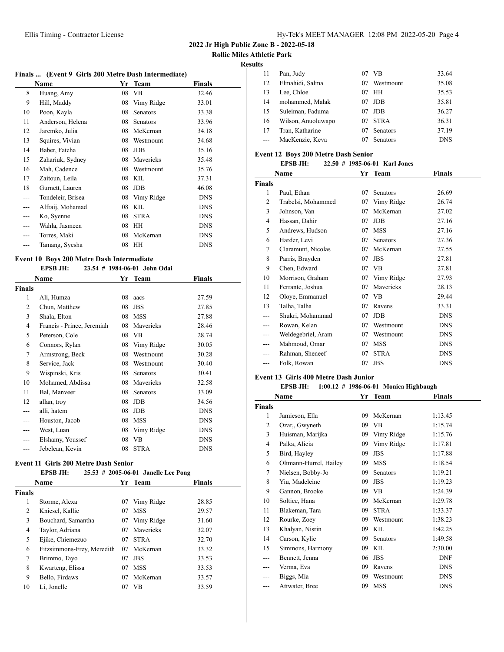**2022 Jr High Public Zone B - 2022-05-18**

**Rollie Miles Athletic Park**

## **Results**

|     | Finals  (Event 9 Girls 200 Metre Dash Intermediate) |    |                 |            |  |
|-----|-----------------------------------------------------|----|-----------------|------------|--|
|     | Name                                                | Yr | Team            | Finals     |  |
| 8   | Huang, Amy                                          | 08 | VB              | 32.46      |  |
| 9   | Hill, Maddy                                         | 08 | Vimy Ridge      | 33.01      |  |
| 10  | Poon, Kayla                                         | 08 | <b>Senators</b> | 33.38      |  |
| 11  | Anderson, Helena                                    | 08 | <b>Senators</b> | 33.96      |  |
| 12  | Jaremko, Julia                                      | 08 | McKernan        | 34.18      |  |
| 13  | Squires, Vivian                                     | 08 | Westmount       | 34.68      |  |
| 14  | Baber, Fateha                                       | 08 | <b>JDB</b>      | 35.16      |  |
| 15  | Zahariuk, Sydney                                    | 08 | Mavericks       | 35.48      |  |
| 16  | Mah, Cadence                                        | 08 | Westmount       | 35.76      |  |
| 17  | Zaitoun, Leila                                      | 08 | KIL             | 37.31      |  |
| 18  | Gurnett, Lauren                                     | 08 | <b>JDB</b>      | 46.08      |  |
|     | Tondeleir, Brisea                                   | 08 | Vimy Ridge      | <b>DNS</b> |  |
| --- | Alfraij, Mohamad                                    | 08 | KIL             | <b>DNS</b> |  |
| --- | Ko, Syenne                                          | 08 | <b>STRA</b>     | <b>DNS</b> |  |
|     | Wahla, Jasmeen                                      | 08 | HH              | <b>DNS</b> |  |
|     | Torres, Maki                                        | 08 | McKernan        | <b>DNS</b> |  |
|     | Tamang, Syesha                                      | 08 | HH              | <b>DNS</b> |  |

# **Event 10 Boys 200 Metre Dash Intermediate**

|        | EPSB JH:                   |    | 23.54 # 1984-06-01 John Odai |            |
|--------|----------------------------|----|------------------------------|------------|
|        | Name                       |    | Yr Team                      | Finals     |
| Finals |                            |    |                              |            |
| 1      | Ali, Humza                 | 08 | aacs                         | 27.59      |
| 2      | Chun, Matthew              | 08 | <b>JBS</b>                   | 27.85      |
| 3      | Shala, Elton               | 08 | <b>MSS</b>                   | 27.88      |
| 4      | Francis - Prince, Jeremiah | 08 | Mavericks                    | 28.46      |
| 5      | Peterson, Cole             | 08 | VB                           | 28.74      |
| 6      | Connors, Rylan             | 08 | Vimy Ridge                   | 30.05      |
| 7      | Armstrong, Beck            | 08 | Westmount                    | 30.28      |
| 8      | Service, Jack              | 08 | Westmount                    | 30.40      |
| 9      | Wispinski, Kris            | 08 | <b>Senators</b>              | 30.41      |
| 10     | Mohamed, Abdissa           | 08 | Mavericks                    | 32.58      |
| 11     | Bal, Manveer               | 08 | Senators                     | 33.09      |
| 12     | allan, troy                | 08 | JDB                          | 34.56      |
|        | alli, hatem                | 08 | JDB                          | <b>DNS</b> |
| ---    | Houston, Jacob             | 08 | <b>MSS</b>                   | <b>DNS</b> |
| ---    | West, Luan                 | 08 | Vimy Ridge                   | <b>DNS</b> |
|        | Elshamy, Youssef           | 08 | VB                           | <b>DNS</b> |
|        | Jebelean, Kevin            | 08 | <b>STRA</b>                  | <b>DNS</b> |
|        |                            |    |                              |            |

# **Event 11 Girls 200 Metre Dash Senior**

# **EPSB JH: 25.53 # 2005-06-01 Janelle Lee Pong**

| <b>Name</b>   |                            | Yr | <b>Team</b> | <b>Finals</b> |  |
|---------------|----------------------------|----|-------------|---------------|--|
| <b>Finals</b> |                            |    |             |               |  |
| 1             | Storme, Alexa              | 07 | Vimy Ridge  | 28.85         |  |
| 2             | Kniesel, Kallie            | 07 | <b>MSS</b>  | 29.57         |  |
| 3             | Bouchard, Samantha         | 07 | Vimy Ridge  | 31.60         |  |
| 4             | Taylor, Adriana            | 07 | Mavericks   | 32.07         |  |
| 5             | Ejike, Chiemezuo           | 07 | <b>STRA</b> | 32.70         |  |
| 6             | Fitzsimmons-Frey, Meredith | 07 | McKernan    | 33.32         |  |
| 7             | Brimmo, Tayo               | 07 | <b>JBS</b>  | 33.53         |  |
| 8             | Kwarteng, Elissa           | 07 | <b>MSS</b>  | 33.53         |  |
| 9             | Bello, Firdaws             | 07 | McKernan    | 33.57         |  |
| 10            | Li. Jonelle                | 07 | VB          | 33.59         |  |

| 11 | Pan, Judy          | 07 | VB.             | 33.64      |
|----|--------------------|----|-----------------|------------|
| 12 | Elmahidi, Salma    | 07 | Westmount       | 35.08      |
| 13 | Lee, Chloe         | 07 | <b>HH</b>       | 35.53      |
| 14 | mohammed, Malak    | 07 | <b>JDB</b>      | 35.81      |
| 15 | Suleiman, Faduma   | 07 | <b>JDB</b>      | 36.27      |
| 16 | Wilson, Anuoluwapo | 07 | <b>STRA</b>     | 36.31      |
| 17 | Tran, Katharine    | 07 | <b>Senators</b> | 37.19      |
|    | MacKenzie, Keva    | 07 | <b>Senators</b> | <b>DNS</b> |
|    |                    |    |                 |            |

# **Event 12 Boys 200 Metre Dash Senior**

# **EPSB JH: 22.50 # 1985-06-01 Karl Jones**

|                | Name               | Yr | <b>Team</b> | <b>Finals</b> |  |
|----------------|--------------------|----|-------------|---------------|--|
| Finals         |                    |    |             |               |  |
| 1              | Paul, Ethan        | 07 | Senators    | 26.69         |  |
| $\overline{c}$ | Trabelsi, Mohammed | 07 | Vimy Ridge  | 26.74         |  |
| 3              | Johnson, Van       | 07 | McKernan    | 27.02         |  |
| 4              | Hassan, Dahir      | 07 | <b>JDB</b>  | 27.16         |  |
| 5              | Andrews, Hudson    | 07 | <b>MSS</b>  | 27.16         |  |
| 6              | Harder, Levi       | 07 | Senators    | 27.36         |  |
| 7              | Claramunt, Nicolas | 07 | McKernan    | 27.55         |  |
| 8              | Parris, Brayden    | 07 | <b>JBS</b>  | 27.81         |  |
| 9              | Chen, Edward       | 07 | <b>VB</b>   | 27.81         |  |
| 10             | Morrison, Graham   | 07 | Vimy Ridge  | 27.93         |  |
| 11             | Ferrante, Joshua   | 07 | Mavericks   | 28.13         |  |
| 12             | Oloye, Emmanuel    | 07 | VB          | 29.44         |  |
| 13             | Talha, Talha       | 07 | Ravens      | 33.31         |  |
|                | Shukri, Mohammad   | 07 | JDB         | <b>DNS</b>    |  |
|                | Rowan, Kelan       | 07 | Westmount   | <b>DNS</b>    |  |
|                | Weldegebriel, Aram | 07 | Westmount   | <b>DNS</b>    |  |
|                | Mahmoud, Omar      | 07 | <b>MSS</b>  | <b>DNS</b>    |  |
|                | Rahman, Sheneef    | 07 | <b>STRA</b> | <b>DNS</b>    |  |
|                | Folk, Rowan        | 07 | <b>JBS</b>  | <b>DNS</b>    |  |
|                |                    |    |             |               |  |

# **Event 13 Girls 400 Metre Dash Junior**

#### **EPSB JH: 1:00.12 # 1986-06-01 Monica Highbaugh**

|               | Name                   | Yr | Team        | <b>Finals</b> |
|---------------|------------------------|----|-------------|---------------|
| <b>Finals</b> |                        |    |             |               |
| 1             | Jamieson, Ella         | 09 | McKernan    | 1:13.45       |
| 2             | Ozar,, Gwyneth         | 09 | VB          | 1:15.74       |
| 3             | Huisman, Marijka       | 09 | Vimy Ridge  | 1:15.76       |
| 4             | Palka, Alicia          | 09 | Vimy Ridge  | 1:17.81       |
| 5             | Bird, Hayley           | 09 | JBS         | 1:17.88       |
| 6             | Oltmann-Hurrel, Hailey | 09 | MSS         | 1:18.54       |
| 7             | Nielsen, Bobby-Jo      | 09 | Senators    | 1:19.21       |
| 8             | Yiu, Madeleine         | 09 | <b>JBS</b>  | 1:19.23       |
| 9             | Gannon, Brooke         | 09 | <b>VB</b>   | 1:24.39       |
| 10            | Soltice, Hana          | 09 | McKernan    | 1:29.78       |
| 11            | Blakeman, Tara         | 09 | <b>STRA</b> | 1:33.37       |
| 12            | Rourke, Zoey           | 09 | Westmount   | 1:38.23       |
| 13            | Khalyan, Nisrin        | 09 | KIL         | 1:42.25       |
| 14            | Carson, Kylie          | 09 | Senators    | 1:49.58       |
| 15            | Simmons, Harmony       | 09 | KIL         | 2:30.00       |
|               | Bennett, Jenna         | 06 | <b>JBS</b>  | <b>DNF</b>    |
|               | Verma, Eva             | 09 | Ravens      | <b>DNS</b>    |
|               | Biggs, Mia             | 09 | Westmount   | <b>DNS</b>    |
|               | Attwater, Bree         | 09 | <b>MSS</b>  | <b>DNS</b>    |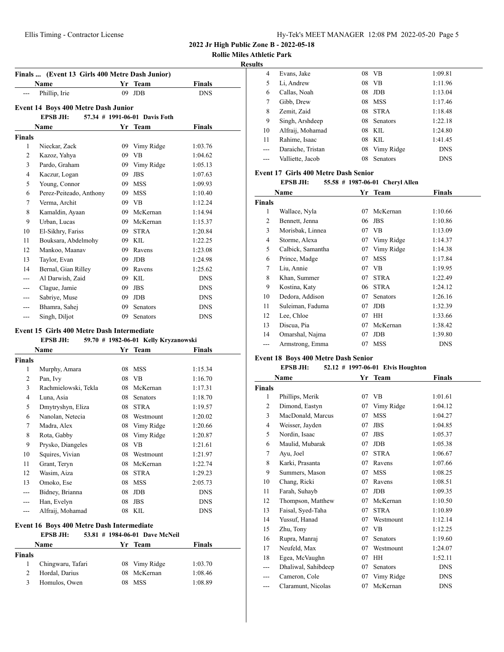**Rollie Miles Athletic Park**

**Results**

| Finals  (Event 13 Girls 400 Metre Dash Junior) |                                                                                         |    |                 |               |  |  |  |  |  |
|------------------------------------------------|-----------------------------------------------------------------------------------------|----|-----------------|---------------|--|--|--|--|--|
|                                                | <b>Name</b>                                                                             | Yr | <b>Team</b>     | <b>Finals</b> |  |  |  |  |  |
|                                                | Phillip, Irie                                                                           | 09 | <b>JDB</b>      | <b>DNS</b>    |  |  |  |  |  |
|                                                |                                                                                         |    |                 |               |  |  |  |  |  |
|                                                | Event 14 Boys 400 Metre Dash Junior<br><b>EPSB JH:</b><br>57.34 # 1991-06-01 Davis Foth |    |                 |               |  |  |  |  |  |
|                                                | Name                                                                                    | Yr | <b>Team</b>     | Finals        |  |  |  |  |  |
| Finals                                         |                                                                                         |    |                 |               |  |  |  |  |  |
| 1                                              | Nieckar, Zack                                                                           | 09 | Vimy Ridge      | 1:03.76       |  |  |  |  |  |
| 2                                              | Kazoz, Yahya                                                                            | 09 | <b>VB</b>       | 1:04.62       |  |  |  |  |  |
| 3                                              | Pardo, Graham                                                                           | 09 | Vimy Ridge      | 1:05.13       |  |  |  |  |  |
| $\overline{4}$                                 | Kaczur, Logan                                                                           | 09 | <b>JBS</b>      | 1:07.63       |  |  |  |  |  |
| 5                                              | Young, Connor                                                                           | 09 | <b>MSS</b>      | 1:09.93       |  |  |  |  |  |
| 6                                              | Perez-Peiteado, Anthony                                                                 | 09 | <b>MSS</b>      | 1:10.40       |  |  |  |  |  |
| 7                                              | Verma, Archit                                                                           | 09 | VB              | 1:12.24       |  |  |  |  |  |
| 8                                              | Kamaldin, Ayaan                                                                         | 09 | McKernan        | 1:14.94       |  |  |  |  |  |
| 9                                              | Urban, Lucas                                                                            | 09 | McKernan        | 1:15.37       |  |  |  |  |  |
| 10                                             | El-Sikhry, Fariss                                                                       | 09 | <b>STRA</b>     | 1:20.84       |  |  |  |  |  |
| 11                                             | Bouksara, Abdelmohy                                                                     |    | 09 KIL          | 1:22.25       |  |  |  |  |  |
| 12                                             | Mankoo, Maanav                                                                          | 09 | Ravens          | 1:23.08       |  |  |  |  |  |
| 13                                             | Taylor, Evan                                                                            | 09 | <b>JDB</b>      | 1:24.98       |  |  |  |  |  |
| 14                                             | Bernal, Gian Rilley                                                                     | 09 | Ravens          | 1:25.62       |  |  |  |  |  |
|                                                | Al Darwish, Zaid                                                                        | 09 | <b>KIL</b>      | <b>DNS</b>    |  |  |  |  |  |
|                                                | Clague, Jamie                                                                           | 09 | <b>JBS</b>      | <b>DNS</b>    |  |  |  |  |  |
|                                                | Sabriye, Muse                                                                           | 09 | <b>JDB</b>      | <b>DNS</b>    |  |  |  |  |  |
|                                                | Bhamra, Sahej                                                                           | 09 | <b>Senators</b> | <b>DNS</b>    |  |  |  |  |  |
| ---                                            | Singh, Diljot                                                                           | 09 | Senators        | <b>DNS</b>    |  |  |  |  |  |

#### **Event 15 Girls 400 Metre Dash Intermediate**

|                | Name                 |    | Yr Team         | Finals     |
|----------------|----------------------|----|-----------------|------------|
| Finals         |                      |    |                 |            |
| 1              | Murphy, Amara        | 08 | MSS.            | 1:15.34    |
| 2              | Pan, Ivy             | 08 | <b>VB</b>       | 1:16.70    |
| 3              | Rachmielowski, Tekla | 08 | McKernan        | 1:17.31    |
| $\overline{4}$ | Luna, Asia           | 08 | <b>Senators</b> | 1:18.70    |
| 5              | Dmytryshyn, Eliza    | 08 | <b>STRA</b>     | 1:19.57    |
| 6              | Nanolan, Netecia     | 08 | Westmount       | 1:20.02    |
| 7              | Madra, Alex          | 08 | Vimy Ridge      | 1:20.66    |
| 8              | Rota, Gabby          | 08 | Vimy Ridge      | 1:20.87    |
| 9              | Prysko, Diangeles    | 08 | <b>VB</b>       | 1:21.61    |
| 10             | Squires, Vivian      | 08 | Westmount       | 1:21.97    |
| 11             | Grant, Teryn         | 08 | McKernan        | 1:22.74    |
| 12             | Wasim, Aiza          | 08 | <b>STRA</b>     | 1:29.23    |
| 13             | Omoko, Ese           | 08 | <b>MSS</b>      | 2:05.73    |
| ---            | Bidney, Brianna      | 08 | <b>JDB</b>      | <b>DNS</b> |
| ---            | Han, Evelyn          | 08 | <b>JBS</b>      | <b>DNS</b> |
|                | Alfraij, Mohamad     |    | 08 KIL          | <b>DNS</b> |

## **Event 16 Boys 400 Metre Dash Intermediate**

|               | <b>EPSB JH:</b>   |  | 53.81 # 1984-06-01 Dave McNeil |               |
|---------------|-------------------|--|--------------------------------|---------------|
|               | Name              |  | Yr Team                        | <b>Finals</b> |
| <b>Finals</b> |                   |  |                                |               |
|               | Chingwaru, Tafari |  | 08 Vimy Ridge                  | 1:03.70       |
|               | Hordal, Darius    |  | 08 McKernan                    | 1:08.46       |

Homulos, Owen 08 MSS 1:08.89

| ılts |                   |    |                 |            |  |
|------|-------------------|----|-----------------|------------|--|
| 4    | Evans, Jake       |    | 08 VB           | 1:09.81    |  |
| 5    | Li. Andrew        | 08 | VB              | 1:11.96    |  |
| 6    | Callas, Noah      | 08 | <b>JDB</b>      | 1:13.04    |  |
| 7    | Gibb, Drew        | 08 | <b>MSS</b>      | 1:17.46    |  |
| 8    | Zemit, Zaid       | 08 | <b>STRA</b>     | 1:18.48    |  |
| 9    | Singh, Arshdeep   | 08 | Senators        | 1:22.18    |  |
| 10   | Alfraij, Mohamad  |    | 08 KIL          | 1:24.80    |  |
| 11   | Rahime, Isaac     | 08 | KIL.            | 1:41.45    |  |
|      | Daraiche, Tristan | 08 | Vimy Ridge      | <b>DNS</b> |  |
|      | Valliette, Jacob  | 08 | <b>Senators</b> | <b>DNS</b> |  |
|      |                   |    |                 |            |  |

# **Event 17 Girls 400 Metre Dash Senior**

**EPSB JH: 55.58 # 1987-06-01 Cheryl Allen**

| Name          |                   |    | Yr Team     | <b>Finals</b> |
|---------------|-------------------|----|-------------|---------------|
| <b>Finals</b> |                   |    |             |               |
| 1             | Wallace, Nyla     | 07 | McKernan    | 1:10.66       |
| 2             | Bennett, Jenna    | 06 | <b>JBS</b>  | 1:10.86       |
| 3             | Morisbak, Linnea  | 07 | VB          | 1:13.09       |
| 4             | Storme, Alexa     | 07 | Vimy Ridge  | 1:14.37       |
| 5             | Calbick, Samantha | 07 | Vimy Ridge  | 1:14.38       |
| 6             | Prince, Madge     | 07 | <b>MSS</b>  | 1:17.84       |
| 7             | Liu, Annie        | 07 | <b>VB</b>   | 1:19.95       |
| 8             | Khan, Summer      | 07 | <b>STRA</b> | 1:22.49       |
| 9             | Kostina, Katy     | 06 | <b>STRA</b> | 1:24.12       |
| 10            | Dedora, Addison   | 07 | Senators    | 1:26.16       |
| 11            | Suleiman, Faduma  | 07 | <b>JDB</b>  | 1:32.39       |
| 12            | Lee, Chloe        | 07 | HН          | 1:33.66       |
| 13            | Discua, Pia       | 07 | McKernan    | 1:38.42       |
| 14            | Omarshal, Najma   | 07 | <b>JDB</b>  | 1:39.80       |
| ---           | Armstrong, Emma   | 07 | <b>MSS</b>  | <b>DNS</b>    |

# **Event 18 Boys 400 Metre Dash Senior**

# **EPSB JH: 52.12 # 1997-06-01 Elvis Houghton**

| Name           |                     | Yr | <b>Team</b> | <b>Finals</b> |
|----------------|---------------------|----|-------------|---------------|
| <b>Finals</b>  |                     |    |             |               |
| 1              | Phillips, Merik     | 07 | VB.         | 1:01.61       |
| 2              | Dimond, Eastyn      | 07 | Vimy Ridge  | 1:04.12       |
| 3              | MacDonald, Marcus   | 07 | <b>MSS</b>  | 1:04.27       |
| $\overline{4}$ | Weisser, Jayden     | 07 | <b>JBS</b>  | 1:04.85       |
| 5              | Nordin, Isaac       | 07 | <b>JBS</b>  | 1:05.37       |
| 6              | Maulid, Mubarak     | 07 | <b>JDB</b>  | 1:05.38       |
| 7              | Ayu, Joel           | 07 | <b>STRA</b> | 1:06.67       |
| 8              | Karki, Prasanta     | 07 | Ravens      | 1:07.66       |
| 9              | Summers, Mason      | 07 | <b>MSS</b>  | 1:08.25       |
| 10             | Chang, Ricki        | 07 | Ravens      | 1:08.51       |
| 11             | Farah, Suhayb       | 07 | <b>JDB</b>  | 1:09.35       |
| 12             | Thompson, Matthew   | 07 | McKernan    | 1:10.50       |
| 13             | Faisal, Syed-Taha   | 07 | <b>STRA</b> | 1:10.89       |
| 14             | Yussuf, Hanad       | 07 | Westmount   | 1:12.14       |
| 15             | Zhu, Tony           | 07 | VB          | 1:12.25       |
| 16             | Rupra, Manraj       | 07 | Senators    | 1:19.60       |
| 17             | Neufeld, Max        | 07 | Westmount   | 1:24.07       |
| 18             | Egea, McVaughn      | 07 | HH          | 1:52.11       |
|                | Dhaliwal, Sahibdeep | 07 | Senators    | <b>DNS</b>    |
|                | Cameron, Cole       | 07 | Vimy Ridge  | <b>DNS</b>    |
| ---            | Claramunt, Nicolas  | 07 | McKernan    | <b>DNS</b>    |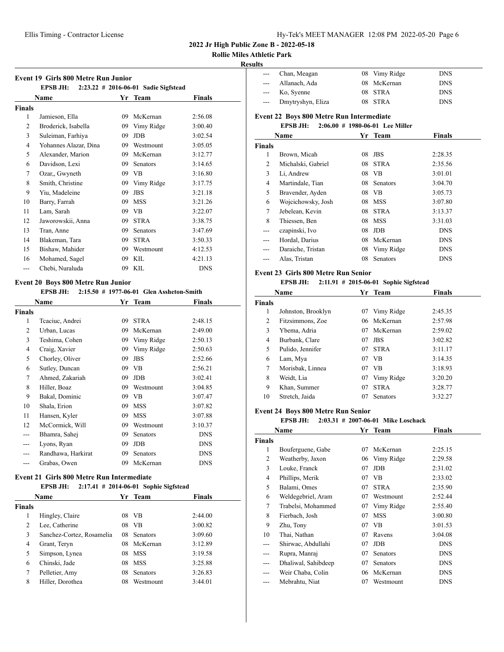# **Rollie Miles Athletic Park**

## **Results**

| Event 19 Girls 800 Metre Run Junior |  |  |
|-------------------------------------|--|--|

| етсис 17 - он 13 ооо гасагс тан ошног |                       |    |                                      |            |  |
|---------------------------------------|-----------------------|----|--------------------------------------|------------|--|
|                                       | <b>EPSB JH:</b>       |    | 2:23.22 # 2016-06-01 Sadie Sigfstead |            |  |
|                                       | Name                  |    | Yr Team                              | Finals     |  |
| Finals                                |                       |    |                                      |            |  |
| 1                                     | Jamieson, Ella        | 09 | McKernan                             | 2:56.08    |  |
| 2                                     | Broderick, Isabella   | 09 | Vimy Ridge                           | 3:00.40    |  |
| 3                                     | Suleiman, Farhiya     | 09 | <b>JDB</b>                           | 3:02.54    |  |
| $\overline{4}$                        | Yohannes Alazar, Dina | 09 | Westmount                            | 3:05.05    |  |
| 5                                     | Alexander, Marion     | 09 | McKernan                             | 3:12.77    |  |
| 6                                     | Davidson, Lexi        | 09 | Senators                             | 3:14.65    |  |
| 7                                     | Ozar,, Gwyneth        | 09 | <b>VB</b>                            | 3:16.80    |  |
| 8                                     | Smith, Christine      | 09 | Vimy Ridge                           | 3:17.75    |  |
| 9                                     | Yiu, Madeleine        | 09 | <b>JBS</b>                           | 3:21.18    |  |
| 10                                    | Barry, Farrah         | 09 | <b>MSS</b>                           | 3:21.26    |  |
| 11                                    | Lam, Sarah            | 09 | <b>VB</b>                            | 3:22.07    |  |
| 12                                    | Jaworowskii, Anna     | 09 | <b>STRA</b>                          | 3:38.75    |  |
| 13                                    | Tran, Anne            | 09 | <b>Senators</b>                      | 3:47.69    |  |
| 14                                    | Blakeman, Tara        | 09 | <b>STRA</b>                          | 3:50.33    |  |
| 15                                    | Bishaw, Mahider       | 09 | Westmount                            | 4:12.53    |  |
| 16                                    | Mohamed, Sagel        | 09 | <b>KIL</b>                           | 4:21.13    |  |
|                                       | Chebi, Nuraluda       | 09 | KIL                                  | <b>DNS</b> |  |
|                                       |                       |    |                                      |            |  |

## **Event 20 Boys 800 Metre Run Junior**

**EPSB JH: 2:15.50 # 1977-06-01 Glen Assheton-Smith**

| Name               |    | <b>Team</b>     | <b>Finals</b> |
|--------------------|----|-----------------|---------------|
|                    |    |                 |               |
| Teaciuc, Andrei    | 09 | <b>STRA</b>     | 2:48.15       |
| Urban, Lucas       | 09 | McKernan        | 2:49.00       |
| Teshima, Cohen     | 09 | Vimy Ridge      | 2:50.13       |
| Craig, Xavier      | 09 | Vimy Ridge      | 2:50.63       |
| Chorley, Oliver    | 09 | <b>JBS</b>      | 2:52.66       |
| Sutley, Duncan     | 09 | VB              | 2:56.21       |
| Ahmed, Zakariah    | 09 | <b>JDB</b>      | 3:02.41       |
| Hiller, Boaz       | 09 | Westmount       | 3:04.85       |
| Bakal, Dominic     | 09 | <b>VB</b>       | 3:07.47       |
| Shala, Erion       | 09 | <b>MSS</b>      | 3:07.82       |
| Hansen, Kyler      | 09 | <b>MSS</b>      | 3:07.88       |
| McCormick, Will    | 09 | Westmount       | 3:10.37       |
| Bhamra, Sahej      | 09 | <b>Senators</b> | <b>DNS</b>    |
| Lyons, Ryan        | 09 | <b>JDB</b>      | <b>DNS</b>    |
| Randhawa, Harkirat | 09 | <b>Senators</b> | <b>DNS</b>    |
| Grabas, Owen       | 09 | McKernan        | <b>DNS</b>    |
|                    |    |                 | Yr.           |

# **Event 21 Girls 800 Metre Run Intermediate**

|        | <b>EPSB JH:</b>           |    | $2:17.41$ # 2014-06-01 Sophie Sigfstead |         |
|--------|---------------------------|----|-----------------------------------------|---------|
|        | <b>Name</b>               |    | Yr Team                                 | Finals  |
| Finals |                           |    |                                         |         |
| 1      | Hingley, Claire           | 08 | - VB                                    | 2:44.00 |
| 2      | Lee, Catherine            | 08 | VB                                      | 3:00.82 |
| 3      | Sanchez-Cortez, Rosamelia | 08 | <b>Senators</b>                         | 3:09.60 |
| 4      | Grant, Teryn              | 08 | McKernan                                | 3:12.89 |
| 5      | Simpson, Lynea            | 08 | MSS                                     | 3:19.58 |
| 6      | Chinski, Jade             | 08 | <b>MSS</b>                              | 3:25.88 |
| 7      | Pelletier, Amy            | 08 | <b>Senators</b>                         | 3:26.83 |
| 8      | Hiller, Dorothea          | 08 | Westmount                               | 3:44.01 |

|                                                 | Chan, Meagan       | 08 | Vimy Ridge                         | <b>DNS</b> |  |  |  |
|-------------------------------------------------|--------------------|----|------------------------------------|------------|--|--|--|
|                                                 | Allanach, Ada      | 08 | McKernan                           | <b>DNS</b> |  |  |  |
| ---                                             | Ko, Syenne         | 08 | <b>STRA</b>                        | <b>DNS</b> |  |  |  |
|                                                 | Dmytryshyn, Eliza  | 08 | <b>STRA</b>                        | <b>DNS</b> |  |  |  |
| <b>Event 22 Boys 800 Metre Run Intermediate</b> |                    |    |                                    |            |  |  |  |
|                                                 | <b>EPSB JH:</b>    |    | $2:06.00 \# 1980-06-01$ Lee Miller |            |  |  |  |
|                                                 | Name               |    | Yr Team                            | Finals     |  |  |  |
| Finals                                          |                    |    |                                    |            |  |  |  |
| 1                                               | Brown, Micah       | 08 | <b>JBS</b>                         | 2:28.35    |  |  |  |
| $\overline{c}$                                  | Michalski, Gabriel | 08 | <b>STRA</b>                        | 2:35.56    |  |  |  |
| 3                                               | Li, Andrew         | 08 | <b>VB</b>                          | 3:01.01    |  |  |  |
| 4                                               | Martindale, Tian   | 08 | Senators                           | 3:04.70    |  |  |  |
| 5                                               | Bravender, Ayden   | 08 | VB                                 | 3:05.73    |  |  |  |
| 6                                               | Wojcichowsky, Josh | 08 | <b>MSS</b>                         | 3:07.80    |  |  |  |
| 7                                               | Jebelean, Kevin    | 08 | <b>STRA</b>                        | 3:13.37    |  |  |  |
| 8                                               | Thiessen, Ben      | 08 | <b>MSS</b>                         | 3:31.03    |  |  |  |
|                                                 | czapinski, Ivo     | 08 | <b>JDB</b>                         | <b>DNS</b> |  |  |  |
|                                                 | Hordal, Darius     | 08 | McKernan                           | <b>DNS</b> |  |  |  |
|                                                 | Daraiche, Tristan  | 08 | Vimy Ridge                         | <b>DNS</b> |  |  |  |
|                                                 | Alas, Tristan      | 08 | Senators                           | <b>DNS</b> |  |  |  |
|                                                 |                    |    |                                    |            |  |  |  |

# **Event 23 Girls 800 Metre Run Senior**

#### **EPSB JH: 2:11.91 # 2015-06-01 Sophie Sigfstead**

| Name          |                    | Yr | <b>Team</b> | <b>Finals</b> |  |
|---------------|--------------------|----|-------------|---------------|--|
| <b>Finals</b> |                    |    |             |               |  |
| 1             | Johnston, Brooklyn | 07 | Vimy Ridge  | 2:45.35       |  |
| 2             | Fitzsimmons, Zoe   |    | 06 McKernan | 2:57.98       |  |
| 3             | Ybema, Adria       | 07 | McKernan    | 2:59.02       |  |
| 4             | Burbank, Clare     | 07 | <b>JBS</b>  | 3:02.82       |  |
| 5             | Pulido, Jennifer   | 07 | <b>STRA</b> | 3:11.17       |  |
| 6             | Lam, Mya           | 07 | VB          | 3:14.35       |  |
| 7             | Morisbak, Linnea   | 07 | VB          | 3:18.93       |  |
| 8             | Weidt, Lia         | 07 | Vimy Ridge  | 3:20.20       |  |
| 9             | Khan, Summer       | 07 | <b>STRA</b> | 3:28.77       |  |
| 10            | Stretch, Jaida     | 07 | Senators    | 3:32.27       |  |

#### **Event 24 Boys 800 Metre Run Senior**

#### **EPSB JH: 2:03.31 # 2007-06-01 Mike Loschack**

| Name          |                     | Yr | Team        | Finals     |  |
|---------------|---------------------|----|-------------|------------|--|
| <b>Finals</b> |                     |    |             |            |  |
| 1             | Bouferguene, Gabe   | 07 | McKernan    | 2:25.15    |  |
| 2             | Weatherby, Jaxon    | 06 | Vimy Ridge  | 2:29.58    |  |
| 3             | Louke, Franck       | 07 | <b>JDB</b>  | 2:31.02    |  |
| 4             | Phillips, Merik     | 07 | VB          | 2:33.02    |  |
| 5             | Balami, Omes        | 07 | <b>STRA</b> | 2:35.90    |  |
| 6             | Weldegebriel, Aram  | 07 | Westmount   | 2:52.44    |  |
| 7             | Trabelsi, Mohammed  | 07 | Vimy Ridge  | 2:55.40    |  |
| 8             | Fierbach, Josh      | 07 | <b>MSS</b>  | 3:00.80    |  |
| 9             | Zhu, Tony           | 07 | VB          | 3:01.53    |  |
| 10            | Thai, Nathan        | 07 | Ravens      | 3:04.08    |  |
| ---           | Shirwac, Abdullahi  | 07 | <b>JDB</b>  | <b>DNS</b> |  |
| ---           | Rupra, Manraj       | 07 | Senators    | <b>DNS</b> |  |
| ---           | Dhaliwal, Sahibdeep | 07 | Senators    | <b>DNS</b> |  |
| ---           | Weir Chaba, Colin   | 06 | McKernan    | <b>DNS</b> |  |
|               | Mebrahtu, Niat      | 07 | Westmount   | <b>DNS</b> |  |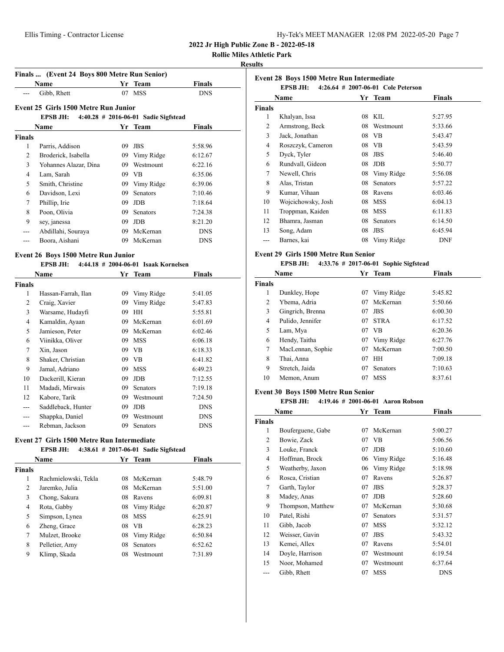**Rollie Miles Athletic Park**

#### **Results**

|               | Finals  (Event 24 Boys 800 Metre Run Senior)<br>Name |    | Yr Team                                | Finals     |
|---------------|------------------------------------------------------|----|----------------------------------------|------------|
|               | Gibb, Rhett                                          | 07 | <b>MSS</b>                             | <b>DNS</b> |
|               | Event 25 Girls 1500 Metre Run Junior                 |    |                                        |            |
|               | EPSB JH:                                             |    | $4:40.28$ # 2016-06-01 Sadie Sigfstead |            |
|               | Name                                                 |    | Yr Team                                | Finals     |
| <b>Finals</b> |                                                      |    |                                        |            |
| 1             | Parris, Addison                                      | 09 | <b>JBS</b>                             | 5:58.96    |
| 2             | Broderick, Isabella                                  | 09 | Vimy Ridge                             | 6:12.67    |
| 3             | Yohannes Alazar, Dina                                | 09 | Westmount                              | 6:22.16    |
| 4             | Lam, Sarah                                           | 09 | VB                                     | 6:35.06    |
| 5             | Smith, Christine                                     | 09 | Vimy Ridge                             | 6:39.06    |
| 6             | Davidson, Lexi                                       | 09 | <b>Senators</b>                        | 7:10.46    |
| 7             | Phillip, Irie                                        | 09 | <b>JDB</b>                             | 7:18.64    |
| 8             | Poon, Olivia                                         | 09 | <b>Senators</b>                        | 7:24.38    |
| 9             | sey, janessa                                         | 09 | <b>JDB</b>                             | 8:21.20    |
| ---           | Abdillahi, Souraya                                   | 09 | McKernan                               | <b>DNS</b> |
|               | Boora, Aishani                                       | 09 | McKernan                               | <b>DNS</b> |

#### **Event 26 Boys 1500 Metre Run Junior**

# **EPSB JH: 4:44.18 # 2004-06-01 Isaak Kornelsen**

| Name           |                     | Yr | <b>Team</b>     | <b>Finals</b> |  |
|----------------|---------------------|----|-----------------|---------------|--|
| Finals         |                     |    |                 |               |  |
| 1              | Hassan-Farrah, Ilan | 09 | Vimy Ridge      | 5:41.05       |  |
| 2              | Craig, Xavier       | 09 | Vimy Ridge      | 5:47.83       |  |
| 3              | Warsame, Hudayfi    | 09 | HН              | 5:55.81       |  |
| $\overline{4}$ | Kamaldin, Ayaan     | 09 | McKernan        | 6:01.69       |  |
| 5              | Jamieson, Peter     | 09 | McKernan        | 6:02.46       |  |
| 6              | Viinikka, Oliver    | 09 | <b>MSS</b>      | 6:06.18       |  |
| 7              | Xin, Jason          | 09 | VB              | 6:18.33       |  |
| 8              | Shaker, Christian   | 09 | <b>VB</b>       | 6:41.82       |  |
| 9              | Jamal, Adriano      | 09 | <b>MSS</b>      | 6:49.23       |  |
| 10             | Dackerill, Kieran   | 09 | JDB             | 7:12.55       |  |
| 11             | Madadi, Mirwais     | 09 | <b>Senators</b> | 7:19.18       |  |
| 12             | Kabore, Tarik       | 09 | Westmount       | 7:24.50       |  |
|                | Saddleback, Hunter  | 09 | JDB             | <b>DNS</b>    |  |
|                | Shappka, Daniel     | 09 | Westmount       | <b>DNS</b>    |  |
|                | Rebman, Jackson     | 09 | Senators        | <b>DNS</b>    |  |

#### **Event 27 Girls 1500 Metre Run Intermediate**

|               | <b>EPSB JH:</b>      |     | $4:38.61$ # 2017-06-01 Sadie Sigfstead |               |
|---------------|----------------------|-----|----------------------------------------|---------------|
|               | Name                 |     | Yr Team                                | <b>Finals</b> |
| <b>Finals</b> |                      |     |                                        |               |
| 1             | Rachmielowski, Tekla | 08. | McKernan                               | 5:48.79       |
| 2             | Jaremko, Julia       |     | 08 McKernan                            | 5:51.00       |
| 3             | Chong, Sakura        | 08  | Ravens                                 | 6:09.81       |
| 4             | Rota, Gabby          |     | 08 Vimy Ridge                          | 6:20.87       |
| 5             | Simpson, Lynea       |     | 08 MSS                                 | 6:25.91       |
| 6             | Zheng, Grace         | 08  | - VB                                   | 6:28.23       |
| 7             | Mulzet, Brooke       | 08  | Vimy Ridge                             | 6:50.84       |
| 8             | Pelletier, Amy       | 08  | <b>Senators</b>                        | 6:52.62       |
| 9             | Klimp, Skada         | 08  | Westmount                              | 7:31.89       |

| Event 28 Boys 1500 Metre Run Intermediate<br>$4:26.64$ # 2007-06-01 Cole Peterson<br><b>EPSB JH:</b> |                    |    |                 |            |  |  |  |
|------------------------------------------------------------------------------------------------------|--------------------|----|-----------------|------------|--|--|--|
| Finals<br>Name<br>Yr Team                                                                            |                    |    |                 |            |  |  |  |
| <b>Finals</b>                                                                                        |                    |    |                 |            |  |  |  |
| 1                                                                                                    | Khalyan, Issa      | 08 | KIL             | 5:27.95    |  |  |  |
| 2                                                                                                    | Armstrong, Beck    | 08 | Westmount       | 5:33.66    |  |  |  |
| 3                                                                                                    | Jack, Jonathan     | 08 | VB              | 5:43.47    |  |  |  |
| 4                                                                                                    | Roszczyk, Cameron  | 08 | VB.             | 5:43.59    |  |  |  |
| 5                                                                                                    | Dyck, Tyler        | 08 | <b>JBS</b>      | 5:46.40    |  |  |  |
| 6                                                                                                    | Rundvall, Gideon   | 08 | <b>JDB</b>      | 5:50.77    |  |  |  |
| 7                                                                                                    | Newell, Chris      | 08 | Vimy Ridge      | 5:56.08    |  |  |  |
| 8                                                                                                    | Alas, Tristan      | 08 | <b>Senators</b> | 5:57.22    |  |  |  |
| 9                                                                                                    | Kumar, Vihaan      | 08 | Ravens          | 6:03.46    |  |  |  |
| 10                                                                                                   | Wojcichowsky, Josh | 08 | <b>MSS</b>      | 6:04.13    |  |  |  |
| 11                                                                                                   | Troppman, Kaiden   | 08 | <b>MSS</b>      | 6:11.83    |  |  |  |
| 12                                                                                                   | Bhamra, Jasman     | 08 | <b>Senators</b> | 6:14.50    |  |  |  |
| 13                                                                                                   | Song, Adam         | 08 | <b>JBS</b>      | 6:45.94    |  |  |  |
| ---                                                                                                  | Barnes, kai        | 08 | Vimy Ridge      | <b>DNF</b> |  |  |  |

#### **Event 29 Girls 1500 Metre Run Senior**

#### **EPSB JH: 4:33.76 # 2017-06-01 Sophie Sigfstead**

| Name          |                   |    | Yr Team     | Finals  |  |
|---------------|-------------------|----|-------------|---------|--|
| <b>Finals</b> |                   |    |             |         |  |
| 1             | Dunkley, Hope     | 07 | Vimy Ridge  | 5:45.82 |  |
| 2             | Ybema, Adria      | 07 | McKernan    | 5:50.66 |  |
| 3             | Gingrich, Brenna  | 07 | <b>JBS</b>  | 6:00.30 |  |
| 4             | Pulido, Jennifer  | 07 | <b>STRA</b> | 6:17.52 |  |
| 5             | Lam, Mya          | 07 | <b>VB</b>   | 6:20.36 |  |
| 6             | Hendy, Taitha     | 07 | Vimy Ridge  | 6:27.76 |  |
| $\tau$        | MacLennan, Sophie | 07 | McKernan    | 7:00.50 |  |
| 8             | Thai, Anna        | 07 | <b>HH</b>   | 7:09.18 |  |
| 9             | Stretch, Jaida    | 07 | Senators    | 7:10.63 |  |
| 10            | Memon, Anum       | 07 | <b>MSS</b>  | 8:37.61 |  |

# **Event 30 Boys 1500 Metre Run Senior**

# **EPSB JH: 4:19.46 # 2001-06-01 Aaron Robson**

| Name           |                   |    | Yr Team    | Finals     |
|----------------|-------------------|----|------------|------------|
| <b>Finals</b>  |                   |    |            |            |
| 1              | Bouferguene, Gabe | 07 | McKernan   | 5:00.27    |
| $\overline{c}$ | Bowie, Zack       | 07 | VВ         | 5:06.56    |
| 3              | Louke, Franck     | 07 | <b>JDB</b> | 5:10.60    |
| 4              | Hoffman, Brock    | 06 | Vimy Ridge | 5:16.48    |
| 5              | Weatherby, Jaxon  | 06 | Vimy Ridge | 5:18.98    |
| 6              | Rosca, Cristian   | 07 | Ravens     | 5:26.87    |
| 7              | Garth, Taylor     | 07 | <b>JBS</b> | 5:28.37    |
| 8              | Madey, Anas       | 07 | <b>JDB</b> | 5:28.60    |
| 9              | Thompson, Matthew | 07 | McKernan   | 5:30.68    |
| 10             | Patel, Rishi      | 07 | Senators   | 5:31.57    |
| 11             | Gibb, Jacob       | 07 | <b>MSS</b> | 5:32.12    |
| 12             | Weisser, Gavin    | 07 | <b>JBS</b> | 5:43.32    |
| 13             | Kemei, Allex      | 07 | Ravens     | 5:54.01    |
| 14             | Doyle, Harrison   | 07 | Westmount  | 6:19.54    |
| 15             | Noor, Mohamed     | 07 | Westmount  | 6:37.64    |
| ---            | Gibb, Rhett       | 07 | <b>MSS</b> | <b>DNS</b> |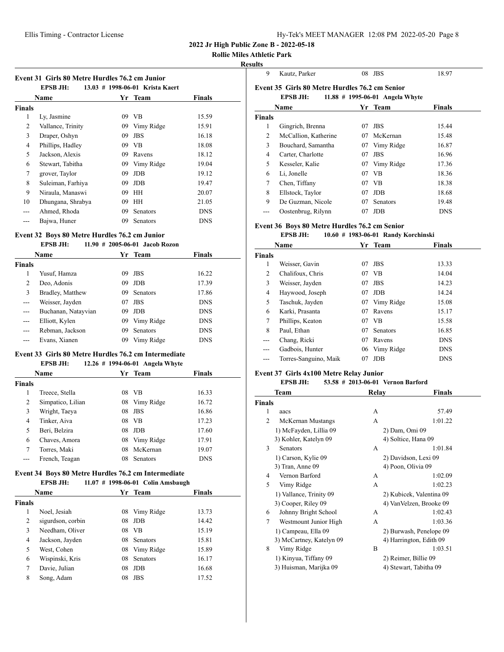|  | Hy-Tek's MEET MANAGER 12:08 PM 2022-05-20 Page 8 |  |  |
|--|--------------------------------------------------|--|--|
|  |                                                  |  |  |

# **Rollie Miles Athletic Park**

## **Results**

**Event 31 Girls 80 Metre Hurdles 76.2 cm Junior**

| 13.03 # 1998-06-01 Krista Kaert<br><b>EPSB JH:</b> |                   |    |            |               |  |
|----------------------------------------------------|-------------------|----|------------|---------------|--|
|                                                    | <b>Name</b>       |    | Yr Team    | <b>Finals</b> |  |
| Finals                                             |                   |    |            |               |  |
| 1                                                  | Ly, Jasmine       | 09 | <b>VB</b>  | 15.59         |  |
| 2                                                  | Vallance, Trinity | 09 | Vimy Ridge | 15.91         |  |
| 3                                                  | Draper, Oshyn     | 09 | <b>JBS</b> | 16.18         |  |
| 4                                                  | Phillips, Hadley  | 09 | <b>VB</b>  | 18.08         |  |
| 5                                                  | Jackson, Alexis   | 09 | Ravens     | 18.12         |  |
| 6                                                  | Stewart, Tabitha  | 09 | Vimy Ridge | 19.04         |  |
| 7                                                  | grover, Taylor    | 09 | JDB        | 19.12         |  |
| 8                                                  | Suleiman, Farhiya | 09 | JDB.       | 19.47         |  |
| 9                                                  | Niraula, Manaswi  | 09 | <b>HH</b>  | 20.07         |  |
| 10                                                 | Dhungana, Shrabya | 09 | HН         | 21.05         |  |
| ---                                                | Ahmed, Rhoda      | 09 | Senators   | <b>DNS</b>    |  |
|                                                    | Bajwa, Huner      | 09 | Senators   | <b>DNS</b>    |  |

# **Event 32 Boys 80 Metre Hurdles 76.2 cm Junior**

## **EPSB JH: 11.90 # 2005-06-01 Jacob Rozon**

| Name          |                     |    | Yr Team         | <b>Finals</b> |
|---------------|---------------------|----|-----------------|---------------|
| <b>Finals</b> |                     |    |                 |               |
| 1             | Yusuf, Hamza        | 09 | <b>JBS</b>      | 16.22         |
| 2             | Deo, Adonis         | 09 | <b>JDB</b>      | 17.39         |
| 3             | Bradley, Matthew    | 09 | <b>Senators</b> | 17.86         |
| $---$         | Weisser, Jayden     | 07 | <b>JBS</b>      | <b>DNS</b>    |
| $---$         | Buchanan, Natayvian | 09 | <b>JDB</b>      | <b>DNS</b>    |
| $---$         | Elliott, Kylen      | 09 | Vimy Ridge      | <b>DNS</b>    |
| ---           | Rebman, Jackson     | 09 | <b>Senators</b> | <b>DNS</b>    |
| ---           | Evans, Xianen       | 09 | Vimy Ridge      | <b>DNS</b>    |
|               |                     |    |                 |               |

#### **Event 33 Girls 80 Metre Hurdles 76.2 cm Intermediate EPSB JH: 12.26 # 1994-06-01 Angela Whyte**

| <b>Name</b>   |                   |    | Yr Team         | <b>Finals</b> |  |
|---------------|-------------------|----|-----------------|---------------|--|
| <b>Finals</b> |                   |    |                 |               |  |
| 1             | Treece, Stella    | 08 | <b>VB</b>       | 16.33         |  |
| 2             | Simpatico, Lilian | 08 | Vimy Ridge      | 16.72         |  |
| 3             | Wright, Taeya     | 08 | JBS             | 16.86         |  |
| 4             | Tinker, Aiva      | 08 | VB              | 17.23         |  |
| 5             | Beri, Belzira     | 08 | JDB             | 17.60         |  |
| 6             | Chaves, Amora     | 08 | Vimy Ridge      | 17.91         |  |
| 7             | Torres, Maki      | 08 | McKernan        | 19.07         |  |
|               | French, Teagan    | 08 | <b>Senators</b> | <b>DNS</b>    |  |

# **Event 34 Boys 80 Metre Hurdles 76.2 cm Intermediate**

|        | <b>EPSB JH:</b>   | $11.07$ # 1998-06-01 Colin Amsbaugh |                 |               |
|--------|-------------------|-------------------------------------|-----------------|---------------|
|        | <b>Name</b>       |                                     | Yr Team         | <b>Finals</b> |
| Finals |                   |                                     |                 |               |
| 1      | Noel, Jesiah      | 08                                  | Vimy Ridge      | 13.73         |
| 2      | sigurdson, corbin | 08                                  | JDB             | 14.42         |
| 3      | Needham, Oliver   | 08                                  | VB              | 15.19         |
| 4      | Jackson, Jayden   | 08                                  | <b>Senators</b> | 15.81         |
| 5      | West. Cohen       | 08                                  | Vimy Ridge      | 15.89         |
| 6      | Wispinski, Kris   | 08                                  | <b>Senators</b> | 16.17         |
| 7      | Davie, Julian     | 08                                  | JDB             | 16.68         |
| 8      | Song, Adam        | 08                                  | JBS             | 17.52         |

| սութ<br>9     | Kautz, Parker                                                     | 08 | <b>JBS</b>                      | 18.97         |  |
|---------------|-------------------------------------------------------------------|----|---------------------------------|---------------|--|
|               | Event 35 Girls 80 Metre Hurdles 76.2 cm Senior<br><b>EPSB JH:</b> |    | 11.88 # 1995-06-01 Angela Whyte |               |  |
|               | Name                                                              |    | Yr Team                         | <b>Finals</b> |  |
| <b>Finals</b> |                                                                   |    |                                 |               |  |
| 1             | Gingrich, Brenna                                                  | 07 | <b>JBS</b>                      | 15.44         |  |
| 2             | McCallion, Katherine                                              | 07 | McKernan                        | 15.48         |  |
| 3             | Bouchard, Samantha                                                | 07 | Vimy Ridge                      | 16.87         |  |
| 4             | Carter, Charlotte                                                 | 07 | <b>JBS</b>                      | 16.96         |  |
| 5             | Kesseler, Kalie                                                   | 07 | Vimy Ridge                      | 17.36         |  |
| 6             | Li, Jonelle                                                       | 07 | <b>VB</b>                       | 18.36         |  |
| 7             | Chen, Tiffany                                                     | 07 | <b>VB</b>                       | 18.38         |  |
| 8             | Ellstock, Taylor                                                  | 07 | <b>JDB</b>                      | 18.68         |  |
| 9             | De Guzman, Nicole                                                 | 07 | Senators                        | 19.48         |  |
|               | Oostenbrug, Rilynn                                                | 07 | <b>JDB</b>                      | <b>DNS</b>    |  |

#### **Event 36 Boys 80 Metre Hurdles 76.2 cm Senior**

#### **EPSB JH: 10.60 # 1983-06-01 Randy Korchinski**

| Name          |                       |    | Yr Team         | <b>Finals</b> |
|---------------|-----------------------|----|-----------------|---------------|
| <b>Finals</b> |                       |    |                 |               |
| 1             | Weisser, Gavin        | 07 | <b>JBS</b>      | 13.33         |
| 2             | Chalifoux, Chris      | 07 | <b>VB</b>       | 14.04         |
| 3             | Weisser, Jayden       | 07 | <b>JBS</b>      | 14.23         |
| 4             | Haywood, Joseph       | 07 | <b>JDB</b>      | 14.24         |
| 5             | Taschuk, Jayden       | 07 | Vimy Ridge      | 15.08         |
| 6             | Karki, Prasanta       | 07 | Ravens          | 15.17         |
| 7             | Phillips, Keaton      | 07 | <b>VB</b>       | 15.58         |
| 8             | Paul, Ethan           | 07 | <b>Senators</b> | 16.85         |
| ---           | Chang, Ricki          | 07 | Ravens          | <b>DNS</b>    |
| ---           | Gadbois, Hunter       | 06 | Vimy Ridge      | <b>DNS</b>    |
| ---           | Torres-Sanguino, Maik | 07 | <b>JDB</b>      | <b>DNS</b>    |

## **Event 37 Girls 4x100 Metre Relay Junior**

#### **EPSB JH: 53.58 # 2013-06-01 Vernon Barford**

|                | Team                     | Relay | Finals                   |
|----------------|--------------------------|-------|--------------------------|
| <b>Finals</b>  |                          |       |                          |
| 1              | aacs                     | A     | 57.49                    |
| $\overline{c}$ | McKernan Mustangs        | A     | 1:01.22                  |
|                | 1) McFayden, Lillia 09   |       | 2) Dam, Omi 09           |
|                | 3) Kohler, Katelyn 09    |       | 4) Soltice, Hana 09      |
| 3              | <b>Senators</b>          | A     | 1:01.84                  |
|                | 1) Carson, Kylie 09      |       | 2) Davidson, Lexi 09     |
|                | 3) Tran, Anne 09         |       | 4) Poon, Olivia 09       |
| 4              | Vernon Barford           | A     | 1:02.09                  |
| 5              | Vimy Ridge               | А     | 1:02.23                  |
|                | 1) Vallance, Trinity 09  |       | 2) Kubicek, Valentina 09 |
|                | 3) Cooper, Riley 09      |       | 4) Van Velzen, Brooke 09 |
| 6              | Johnny Bright School     | A     | 1:02.43                  |
| 7              | Westmount Junior High    | A     | 1:03.36                  |
|                | 1) Campeau, Ella 09      |       | 2) Burwash, Penelope 09  |
|                | 3) McCartney, Katelyn 09 |       | 4) Harrington, Edith 09  |
| 8              | Vimy Ridge               | B     | 1:03.51                  |
|                | 1) Kinyua, Tiffany 09    |       | 2) Reimer, Billie 09     |
|                | 3) Huisman, Marijka 09   |       | 4) Stewart, Tabitha 09   |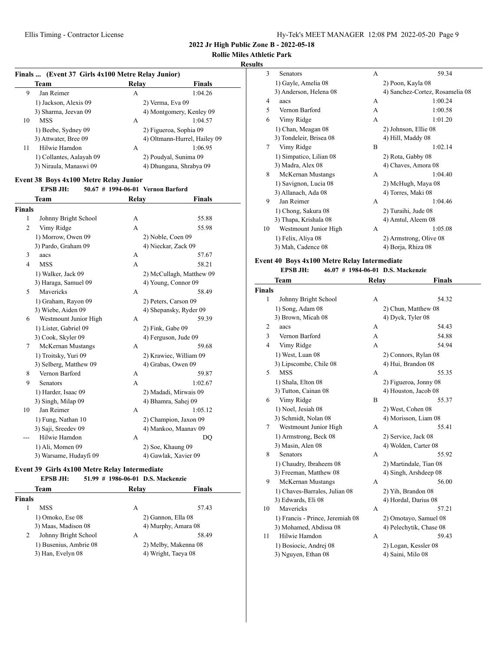# **Rollie Miles Athletic Park**

## **Results**

| Finals  (Event 37 Girls 4x100 Metre Relay Junior) |                          |                  |                              |  |
|---------------------------------------------------|--------------------------|------------------|------------------------------|--|
|                                                   | Team                     | Relav            | <b>Finals</b>                |  |
| 9                                                 | Jan Reimer               | А                | 1:04.26                      |  |
|                                                   | 1) Jackson, Alexis 09    | 2) Verma, Eva 09 |                              |  |
|                                                   | 3) Sharma, Jeevan 09     |                  | 4) Montgomery, Kenley 09     |  |
| 10                                                | <b>MSS</b>               | A                | 1:04.57                      |  |
|                                                   | 1) Beebe, Sydney 09      |                  | 2) Figueroa, Sophia 09       |  |
|                                                   | 3) Attwater, Bree 09     |                  | 4) Oltmann-Hurrel, Hailey 09 |  |
| 11                                                | Hilwie Hamdon            | А                | 1:06.95                      |  |
|                                                   | 1) Collantes, Aalayah 09 |                  | 2) Poudyal, Sunima 09        |  |
|                                                   | 3) Niraula, Manaswi 09   |                  | 4) Dhungana, Shrabya 09      |  |

# **Event 38 Boys 4x100 Metre Relay Junior**

|                | <b>EPSB JH:</b>        |       | 50.67 # 1994-06-01 Vernon Barford |         |
|----------------|------------------------|-------|-----------------------------------|---------|
|                | Team                   | Relay |                                   | Finals  |
| Finals         |                        |       |                                   |         |
| 1              | Johnny Bright School   | А     |                                   | 55.88   |
| $\overline{c}$ | Vimy Ridge             | A     |                                   | 55.98   |
|                | 1) Morrow, Owen 09     |       | 2) Noble, Coen 09                 |         |
|                | 3) Pardo, Graham 09    |       | 4) Nieckar, Zack 09               |         |
| 3              | aacs                   | А     |                                   | 57.67   |
| $\overline{4}$ | <b>MSS</b>             | A     |                                   | 58.21   |
|                | 1) Walker, Jack 09     |       | 2) McCullagh, Matthew 09          |         |
|                | 3) Haraga, Samuel 09   |       | 4) Young, Connor 09               |         |
| 5              | Mavericks              | А     |                                   | 58.49   |
|                | 1) Graham, Rayon 09    |       | 2) Peters, Carson 09              |         |
|                | 3) Wiebe, Aiden 09     |       | 4) Shepansky, Ryder 09            |         |
| 6              | Westmount Junior High  | А     |                                   | 59.39   |
|                | 1) Lister, Gabriel 09  |       | 2) Fink, Gabe 09                  |         |
|                | 3) Cook, Skyler 09     |       | 4) Ferguson, Jude 09              |         |
| 7              | McKernan Mustangs      | A     |                                   | 59.68   |
|                | 1) Troitsky, Yuri 09   |       | 2) Krawiec, William 09            |         |
|                | 3) Selberg, Matthew 09 |       | 4) Grabas, Owen 09                |         |
| 8              | Vernon Barford         | А     |                                   | 59.87   |
| 9              | Senators               | A     |                                   | 1:02.67 |
|                | 1) Harder, Isaac 09    |       | 2) Madadi, Mirwais 09             |         |
|                | 3) Singh, Milap 09     |       | 4) Bhamra, Sahej 09               |         |
| 10             | Jan Reimer             | A     |                                   | 1:05.12 |
|                | 1) Fung, Nathan 10     |       | 2) Champion, Jaxon 09             |         |
|                | 3) Saji, Sreedev 09    |       | 4) Mankoo, Maanav 09              |         |
|                | Hilwie Hamdon          | A     |                                   | DQ      |
|                | 1) Ali, Momen 09       |       | 2) Soe, Khaung 09                 |         |
|                | 3) Warsame, Hudayfi 09 |       | 4) Gawlak, Xavier 09              |         |

#### **Event 39 Girls 4x100 Metre Relay Intermediate**

#### **EPSB JH: 51.99 # 1986-06-01 D.S. Mackenzie**

|               | Team                   | Relay              | <b>Finals</b>        |
|---------------|------------------------|--------------------|----------------------|
| <b>Finals</b> |                        |                    |                      |
|               | MSS                    | А                  | 57.43                |
|               | 1) Omoko, Ese 08       | 2) Gannon, Ella 08 |                      |
|               | 3) Maas, Madison 08    |                    | 4) Murphy, Amara 08  |
| 2             | Johnny Bright School   | А                  | 58.49                |
|               | 1) Busenius, Ambrie 08 |                    | 2) Melby, Makenna 08 |
|               | 3) Han, Evelyn 08      |                    | 4) Wright, Taeya 08  |

| 3  | Senators                | A | 59.34                           |
|----|-------------------------|---|---------------------------------|
|    | 1) Gayle, Amelia 08     |   | 2) Poon, Kayla 08               |
|    | 3) Anderson, Helena 08  |   | 4) Sanchez-Cortez, Rosamelia 08 |
| 4  | aacs                    | A | 1:00.24                         |
| 5  | Vernon Barford          | A | 1:00.58                         |
| 6  | Vimy Ridge              | A | 1:01.20                         |
|    | 1) Chan, Meagan 08      |   | 2) Johnson, Ellie 08            |
|    | 3) Tondeleir, Brisea 08 |   | 4) Hill, Maddy 08               |
| 7  | Vimy Ridge              | R | 1:02.14                         |
|    | 1) Simpatico, Lilian 08 |   | 2) Rota, Gabby 08               |
|    | 3) Madra, Alex 08       |   | 4) Chaves, Amora 08             |
| 8  | McKernan Mustangs       | A | 1:04.40                         |
|    | 1) Savignon, Lucia 08   |   | 2) McHugh, Maya 08              |
|    | 3) Allanach, Ada 08     |   | 4) Torres, Maki 08              |
| 9  | Jan Reimer              | A | 1:04.46                         |
|    | 1) Chong, Sakura 08     |   | 2) Turaihi, Jude 08             |
|    | 3) Thapa, Krishala 08   |   | 4) Amtul, Aleem 08              |
| 10 | Westmount Junior High   | A | 1:05.08                         |
|    | 1) Felix, Aliya 08      |   | 2) Armstrong, Olive 08          |
|    | 3) Mah, Cadence 08      |   | 4) Borja, Rhiza 08              |
|    |                         |   |                                 |

## **Event 40 Boys 4x100 Metre Relay Intermediate**

# **EPSB JH: 46.07 # 1984-06-01 D.S. Mackenzie**

|                | Team                             | <b>Relay</b> | <b>Finals</b>           |
|----------------|----------------------------------|--------------|-------------------------|
| <b>Finals</b>  |                                  |              |                         |
| 1              | Johnny Bright School             | A            | 54.32                   |
|                | 1) Song, Adam 08                 |              | 2) Chun, Matthew 08     |
|                | 3) Brown, Micah 08               |              | 4) Dyck, Tyler 08       |
| 2              | aacs                             | А            | 54.43                   |
| 3              | Vernon Barford                   | A            | 54.88                   |
| $\overline{4}$ | Vimy Ridge                       | A            | 54.94                   |
|                | 1) West, Luan 08                 |              | 2) Connors, Rylan 08    |
|                | 3) Lipscombe, Chile 08           |              | 4) Hui, Brandon 08      |
| 5              | <b>MSS</b>                       | А            | 55.35                   |
|                | 1) Shala, Elton 08               |              | 2) Figueroa, Jonny 08   |
|                | 3) Tutton, Cainan 08             |              | 4) Houston, Jacob 08    |
| 6              | Vimy Ridge                       | B            | 55.37                   |
|                | 1) Noel, Jesiah 08               |              | 2) West, Cohen 08       |
|                | 3) Schmidt, Nolan 08             |              | 4) Morisson, Liam 08    |
| 7              | Westmount Junior High            | A            | 55.41                   |
|                | 1) Armstrong, Beck 08            |              | 2) Service, Jack 08     |
|                | 3) Masin, Alen 08                |              | 4) Wolden, Carter 08    |
| 8              | Senators                         | A            | 55.92                   |
|                | 1) Chaudry, Ibraheem 08          |              | 2) Martindale, Tian 08  |
|                | 3) Freeman, Matthew 08           |              | 4) Singh, Arshdeep 08   |
| 9              | McKernan Mustangs                | А            | 56.00                   |
|                | 1) Chaves-Barrales, Julian 08    |              | 2) Yih, Brandon 08      |
|                | 3) Edwards, Eli 08               |              | 4) Hordal, Darius 08    |
| 10             | Mavericks                        | A            | 57.21                   |
|                | 1) Francis - Prince, Jeremiah 08 |              | 2) Omotayo, Samuel 08   |
|                | 3) Mohamed, Abdissa 08           |              | 4) Pelechytik, Chase 08 |
| 11             | Hilwie Hamdon                    | А            | 59.43                   |
|                | 1) Bosiocic, Andrej 08           |              | 2) Logan, Kessler 08    |
|                | 3) Nguyen, Ethan 08              |              | 4) Saini, Milo 08       |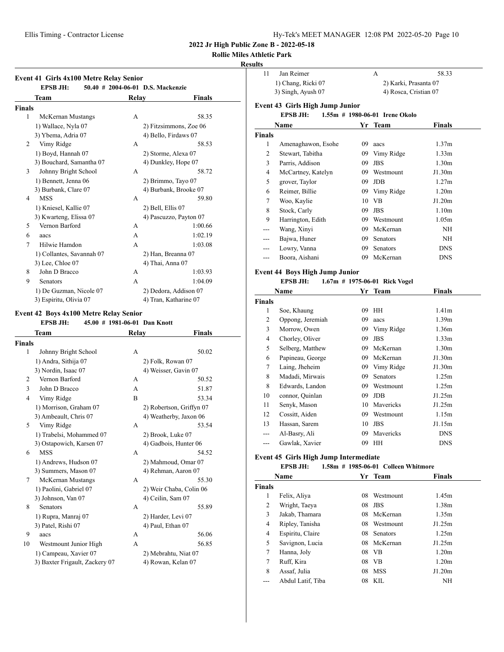# **Rollie Miles Athletic Park**

# **Results**

|                | Event 41 Girls 4x100 Metre Relay Senior<br><b>EPSB JH:</b> |       | 50.40 # 2004-06-01 D.S. Mackenzie |
|----------------|------------------------------------------------------------|-------|-----------------------------------|
|                | Team                                                       | Relay | Finals                            |
| <b>Finals</b>  |                                                            |       |                                   |
| 1              | McKernan Mustangs                                          | A     | 58.35                             |
|                | 1) Wallace, Nyla 07                                        |       | 2) Fitzsimmons, Zoe 06            |
|                | 3) Ybema, Adria 07                                         |       | 4) Bello, Firdaws 07              |
| 2              | Vimy Ridge                                                 | A     | 58.53                             |
|                | 1) Boyd, Hannah 07                                         |       | 2) Storme, Alexa 07               |
|                | 3) Bouchard, Samantha 07                                   |       | 4) Dunkley, Hope 07               |
| 3              | Johnny Bright School                                       | A     | 58.72                             |
|                | 1) Bennett, Jenna 06                                       |       | 2) Brimmo, Tayo 07                |
|                | 3) Burbank, Clare 07                                       |       | 4) Burbank, Brooke 07             |
| 4              | <b>MSS</b>                                                 | A     | 59.80                             |
|                | 1) Kniesel, Kallie 07                                      |       | 2) Bell, Ellis 07                 |
|                | 3) Kwarteng, Elissa 07                                     |       | 4) Pascuzzo, Payton 07            |
| 5              | Vernon Barford                                             | A     | 1:00.66                           |
| 6              | aacs                                                       | A     | 1:02.19                           |
| 7              | Hilwie Hamdon                                              | A     | 1:03.08                           |
|                | 1) Collantes, Savannah 07                                  |       | 2) Han, Breanna 07                |
|                | 3) Lee, Chloe 07                                           |       | 4) Thai, Anna 07                  |
| 8              | John D Bracco                                              | А     | 1:03.93                           |
| 9              | <b>Senators</b>                                            | A     | 1:04.09                           |
|                | 1) De Guzman, Nicole 07                                    |       | 2) Dedora, Addison 07             |
|                | 3) Espiritu, Olivia 07                                     |       | 4) Tran, Katharine 07             |
|                | Event 42 Boys 4x100 Metre Relay Senior                     |       |                                   |
|                | <b>EPSB JH:</b><br>45.00 # 1981-06-01 Dan Knott            |       |                                   |
|                | Team                                                       | Relay | Finals                            |
| <b>Finals</b>  |                                                            |       |                                   |
| 1              | Johnny Bright School                                       | A     | 50.02                             |
|                | 1) Andra, Sithija 07                                       |       | 2) Folk, Rowan 07                 |
|                | 3) Nordin, Isaac 07                                        |       | 4) Weisser, Gavin 07              |
| 2              | Vernon Barford                                             | A     | 50.52                             |
| 3              | John D Bracco                                              | A     | 51.87                             |
| $\overline{4}$ | Vimy Ridge                                                 | B     | 53.34                             |
|                | 1) Morrison, Graham 07                                     |       | 2) Robertson, Griffyn 07          |
|                | 3) Ambeault, Chris 07                                      |       | 4) Weatherby, Jaxon 06            |
| 5              | Vimy Ridge                                                 | А     | 53.54                             |
|                | 1) Trabelsi, Mohammed 07                                   |       | 2) Brook, Luke 07                 |
|                |                                                            |       |                                   |

3) Ostapowich, Karsen 07 4) Gadbois, Hunter 06 6 MSS A 54.52 1) Andrews, Hudson 07 2) Mahmoud, Omar 07 3) Summers, Mason 07 4) Rehman, Aaron 07 7 McKernan Mustangs A 55.30 1) Paolini, Gabriel 07 2) Weir Chaba, Colin 06 3) Johnson, Van 07 4) Ceilin, Sam 07 8 Senators **A** 55.89 1) Rupra, Manraj 07 2) Harder, Levi 07 3) Patel, Rishi 07 4) Paul, Ethan 07 9 aacs A 56.06 10 Westmount Junior High A 56.85 1) Campeau, Xavier 07 2) Mebrahtu, Niat 07 3) Baxter Frigault, Zackery 07 4) Rowan, Kelan 07

| นแร                |                                                          |                       |                                     |                   |  |
|--------------------|----------------------------------------------------------|-----------------------|-------------------------------------|-------------------|--|
| 11                 | Jan Reimer                                               |                       | A                                   | 58.33             |  |
|                    | 1) Chang, Ricki 07                                       | 2) Karki, Prasanta 07 |                                     |                   |  |
|                    | 3) Singh, Ayush 07                                       |                       | 4) Rosca, Cristian 07               |                   |  |
|                    | <b>Event 43 Girls High Jump Junior</b>                   |                       |                                     |                   |  |
|                    | <b>EPSB JH:</b>                                          |                       | 1.55m # 1980-06-01 Irene Okolo      |                   |  |
|                    | Name                                                     |                       | Yr Team                             | <b>Finals</b>     |  |
| <b>Finals</b>      |                                                          |                       |                                     |                   |  |
| 1                  | Amenaghawon, Esohe                                       | 09                    | aacs                                | 1.37m             |  |
| $\overline{c}$     | Stewart, Tabitha                                         |                       | 09 Vimy Ridge                       | 1.33 <sub>m</sub> |  |
| 3                  | Parris, Addison                                          |                       | 09 JBS                              | 1.30 <sub>m</sub> |  |
| $\overline{4}$     | McCartney, Katelyn                                       |                       | 09 Westmount                        | J1.30m            |  |
| 5                  | grover, Taylor                                           |                       | $09$ JDB                            | 1.27m             |  |
| 6                  | Reimer, Billie                                           |                       | 09 Vimy Ridge                       | 1.20 <sub>m</sub> |  |
| 7                  | Woo, Kaylie                                              |                       | 10 VB                               | J1.20m            |  |
| 8                  | Stock, Carly                                             |                       | 09 JBS                              | 1.10 <sub>m</sub> |  |
| 9                  | Harrington, Edith                                        |                       | 09 Westmount                        | 1.05 <sub>m</sub> |  |
|                    | Wang, Xinyi                                              |                       | 09 McKernan                         | NH                |  |
|                    | Bajwa, Huner                                             |                       | 09 Senators                         | NH                |  |
| ---                | Lowry, Vanna                                             |                       | 09 Senators                         | DNS               |  |
| ---                | Boora, Aishani                                           |                       | 09 McKernan                         | DNS               |  |
|                    |                                                          |                       |                                     |                   |  |
|                    | <b>Event 44 Boys High Jump Junior</b><br><b>EPSB JH:</b> |                       |                                     |                   |  |
|                    |                                                          |                       | 1.67m # 1975-06-01 Rick Vogel       |                   |  |
|                    | Name                                                     | Yr                    | <b>Team</b>                         | <b>Finals</b>     |  |
| <b>Finals</b><br>1 |                                                          |                       | 09 HH                               | 1.41 <sub>m</sub> |  |
| $\overline{c}$     | Soe, Khaung<br>Oppong, Jeremiah                          |                       | 09 aacs                             | 1.39m             |  |
| 3                  | Morrow, Owen                                             |                       | 09 Vimy Ridge                       | 1.36m             |  |
| 4                  | Chorley, Oliver                                          |                       | 09 JBS                              | 1.33 <sub>m</sub> |  |
| 5                  | Selberg, Matthew                                         |                       | 09 McKernan                         | 1.30 <sub>m</sub> |  |
| 6                  | Papineau, George                                         |                       | 09 McKernan                         | J1.30m            |  |
| 7                  | Laing, Jheheim                                           |                       | 09 Vimy Ridge                       | J1.30m            |  |
| 8                  | Madadi, Mirwais                                          |                       | 09 Senators                         | 1.25m             |  |
| 8                  | Edwards, Landon                                          |                       | 09 Westmount                        | 1.25m             |  |
| 10                 | connor, Quinlan                                          |                       | 09 JDB                              | J1.25m            |  |
| 11                 | Senyk, Mason                                             |                       | 10 Mavericks                        | J1.25m            |  |
| 12                 | Cossitt, Aiden                                           |                       | 09 Westmount                        | 1.15m             |  |
| 13                 | Hassan, Sarem                                            |                       | 10 JBS                              | J1.15m            |  |
|                    | Al-Basry, Ali                                            |                       | 09 Mavericks                        | DNS               |  |
| $---$              | Gawlak, Xavier                                           |                       | 09 HH                               | DNS               |  |
|                    |                                                          |                       |                                     |                   |  |
|                    | <b>Event 45 Girls High Jump Intermediate</b>             |                       |                                     |                   |  |
|                    | <b>EPSB JH:</b>                                          |                       | 1.58m # 1985-06-01 Colleen Whitmore |                   |  |
|                    | Name                                                     | Yr                    | <b>Team</b>                         | <b>Finals</b>     |  |
| <b>Finals</b>      |                                                          |                       |                                     |                   |  |
| 1                  | Felix, Aliya                                             |                       | 08 Westmount                        | 1.45m             |  |
| $\mathbf{2}$       | Wright, Taeya                                            |                       | 08 JBS                              | 1.38m             |  |
| 3                  | Jakab, Thamara                                           |                       | 08 McKernan                         | 1.35m             |  |
| $\overline{4}$     | Ripley, Tanisha                                          |                       | 08 Westmount                        | J1.25m            |  |
| 4                  | Espiritu, Claire                                         |                       | 08 Senators                         | 1.25m             |  |
| 5                  | Savignon, Lucia                                          |                       | 08 McKernan                         | J1.25m            |  |
| 7                  | Hanna, Joly                                              |                       | 08 VB                               | 1.20m             |  |

7 Ruff, Kira 08 VB 1.20m 8 Assaf, Julia 08 MSS J1.20m --- Abdul Latif, Tiba 08 KIL NH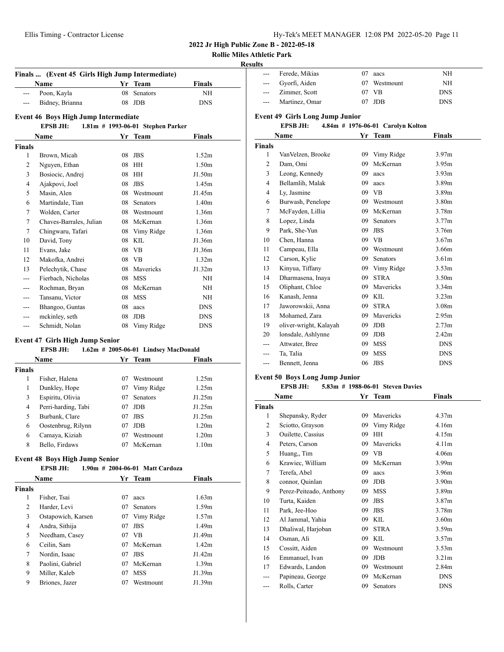**Rollie Miles Athletic Park**

## **Results**

| Finals  (Event 45 Girls High Jump Intermediate) |                                      |    |                                   |                   |  |
|-------------------------------------------------|--------------------------------------|----|-----------------------------------|-------------------|--|
|                                                 | <b>Name</b>                          | Yr | <b>Team</b>                       | <b>Finals</b>     |  |
| ---                                             | Poon, Kayla                          | 08 | <b>Senators</b>                   | <b>NH</b>         |  |
|                                                 | Bidney, Brianna                      | 08 | <b>JDB</b>                        | <b>DNS</b>        |  |
|                                                 | Event 46 Boys High Jump Intermediate |    |                                   |                   |  |
|                                                 | <b>EPSB JH:</b>                      |    | 1.81m # 1993-06-01 Stephen Parker |                   |  |
|                                                 | Name                                 |    | Yr Team                           | Finals            |  |
| <b>Finals</b>                                   |                                      |    |                                   |                   |  |
| 1                                               | Brown, Micah                         | 08 | <b>JBS</b>                        | 1.52m             |  |
| $\overline{c}$                                  | Nguyen, Ethan                        | 08 | HH                                | 1.50 <sub>m</sub> |  |
| 3                                               | Bosiocic, Andrej                     | 08 | HH                                | J1.50m            |  |
| $\overline{4}$                                  | Ajakpovi, Joel                       | 08 | <b>JBS</b>                        | 1.45m             |  |
| 5                                               | Masin, Alen                          | 08 | Westmount                         | J1.45m            |  |
| 6                                               | Martindale, Tian                     | 08 | <b>Senators</b>                   | 1.40 <sub>m</sub> |  |
| 7                                               | Wolden, Carter                       | 08 | Westmount                         | 1.36m             |  |
| 7                                               | Chaves-Barrales, Julian              | 08 | McKernan                          | 1.36m             |  |
| 7                                               | Chingwaru, Tafari                    | 08 | Vimy Ridge                        | 1.36m             |  |
| 10                                              | David, Tony                          | 08 | KIL.                              | J1.36m            |  |
| 11                                              | Evans, Jake                          | 08 | <b>VB</b>                         | J1.36m            |  |
| 12                                              | Makofka, Andrei                      | 08 | <b>VB</b>                         | 1.32 <sub>m</sub> |  |
| 13                                              | Pelechytik, Chase                    | 08 | Mavericks                         | J1.32m            |  |
|                                                 | Fierbach, Nicholas                   | 08 | <b>MSS</b>                        | NH                |  |
|                                                 | Rochman, Bryan                       | 08 | McKernan                          | <b>NH</b>         |  |
|                                                 | Tansanu, Victor                      | 08 | <b>MSS</b>                        | <b>NH</b>         |  |
|                                                 | Bhangoo, Guntas                      | 08 | aacs                              | <b>DNS</b>        |  |
|                                                 | mckinley, seth                       | 08 | <b>JDB</b>                        | <b>DNS</b>        |  |
| ---                                             | Schmidt, Nolan                       | 08 | Vimy Ridge                        | <b>DNS</b>        |  |
|                                                 |                                      |    |                                   |                   |  |

## **Event 47 Girls High Jump Senior**

## **EPSB JH: 1.62m # 2005-06-01 Lindsey MacDonald**

|        | <b>Name</b>         |    | Yr Team         | Finals            |  |
|--------|---------------------|----|-----------------|-------------------|--|
| Finals |                     |    |                 |                   |  |
| 1      | Fisher, Halena      | 07 | Westmount       | 1.25m             |  |
| 1      | Dunkley, Hope       | 07 | Vimy Ridge      | 1.25m             |  |
| 3      | Espiritu, Olivia    | 07 | <b>Senators</b> | J1.25m            |  |
| 4      | Perri-harding, Tabi | 07 | <b>JDB</b>      | J1.25m            |  |
| 5      | Burbank, Clare      | 07 | <b>JBS</b>      | J1.25m            |  |
| 6      | Oostenbrug, Rilynn  | 07 | <b>JDB</b>      | 1.20 <sub>m</sub> |  |
| 6      | Camaya, Kiziah      | 07 | Westmount       | 1.20 <sub>m</sub> |  |
| 8      | Bello, Firdaws      | 07 | McKernan        | 1.10 <sub>m</sub> |  |

## **Event 48 Boys High Jump Senior**

#### **EPSB JH: 1.90m # 2004-06-01 Matt Cardoza**

| Name          |                    |    | Yr Team         | <b>Finals</b>     |  |  |
|---------------|--------------------|----|-----------------|-------------------|--|--|
| <b>Finals</b> |                    |    |                 |                   |  |  |
| 1             | Fisher, Tsai       | 07 | aacs            | 1.63m             |  |  |
| 2             | Harder, Levi       | 07 | <b>Senators</b> | 1.59m             |  |  |
| 3             | Ostapowich, Karsen | 07 | Vimy Ridge      | 1.57m             |  |  |
| 4             | Andra, Sithija     | 07 | <b>JBS</b>      | 1.49 <sub>m</sub> |  |  |
| 5             | Needham, Casey     | 07 | <b>VB</b>       | J1.49m            |  |  |
| 6             | Ceilin, Sam        | 07 | McKernan        | 1.42m             |  |  |
| $\tau$        | Nordin, Isaac      | 07 | <b>JBS</b>      | J1.42m            |  |  |
| 8             | Paolini, Gabriel   | 07 | McKernan        | 1.39m             |  |  |
| 9             | Miller, Kaleb      | 07 | <b>MSS</b>      | J1.39m            |  |  |
| 9             | Briones, Jazer     | 07 | Westmount       | J1.39m            |  |  |

| นเเร                             |                                                      |    |               |                   |  |  |  |  |  |
|----------------------------------|------------------------------------------------------|----|---------------|-------------------|--|--|--|--|--|
| ---                              | Ferede, Mikias                                       | 07 | aacs          | <b>NH</b>         |  |  |  |  |  |
| ---                              | Gyorfi, Aiden                                        | 07 | Westmount     | NH                |  |  |  |  |  |
|                                  | Zimmer, Scott                                        |    | 07 VB         | <b>DNS</b>        |  |  |  |  |  |
| ---                              | Martinez, Omar                                       | 07 | <b>JDB</b>    | <b>DNS</b>        |  |  |  |  |  |
|                                  | <b>Event 49 Girls Long Jump Junior</b>               |    |               |                   |  |  |  |  |  |
|                                  | <b>EPSB JH:</b><br>4.84m # 1976-06-01 Carolyn Kolton |    |               |                   |  |  |  |  |  |
| Yr Team<br><b>Finals</b><br>Name |                                                      |    |               |                   |  |  |  |  |  |
| <b>Finals</b>                    |                                                      |    |               |                   |  |  |  |  |  |
| 1                                | VanVelzen, Brooke                                    |    | 09 Vimy Ridge | 3.97m             |  |  |  |  |  |
| $\overline{c}$                   | Dam, Omi                                             | 09 | McKernan      | 3.95m             |  |  |  |  |  |
| 3                                | Leong, Kennedy                                       | 09 | aacs          | 3.93 <sub>m</sub> |  |  |  |  |  |
| 4                                | Bellamlih, Malak                                     | 09 | aacs          | 3.89m             |  |  |  |  |  |
| $\overline{4}$                   | Ly, Jasmine                                          |    | 09 VB         | 3.89m             |  |  |  |  |  |
| 6                                | Burwash, Penelope                                    |    | 09 Westmount  | 3.80m             |  |  |  |  |  |
| 7                                | McFayden, Lillia                                     |    | 09 McKernan   | 3.78m             |  |  |  |  |  |
| 8                                | Lopez, Linda                                         | 09 | Senators      | 3.77m             |  |  |  |  |  |
| 9                                | Park, She-Yun                                        | 09 | <b>JBS</b>    | 3.76m             |  |  |  |  |  |
| 10                               | Chen, Hanna                                          |    | 09 VB         | 3.67m             |  |  |  |  |  |
| 11                               | Campeau, Ella                                        |    | 09 Westmount  | 3.66m             |  |  |  |  |  |
| 12                               | Carson, Kylie                                        | 09 | Senators      | 3.61 <sub>m</sub> |  |  |  |  |  |
| 13                               | Kinyua, Tiffany                                      |    | 09 Vimy Ridge | 3.53 <sub>m</sub> |  |  |  |  |  |
| 14                               | Dharmasena, Inaya                                    | 09 | <b>STRA</b>   | 3.50 <sub>m</sub> |  |  |  |  |  |
| 15                               | Oliphant, Chloe                                      | 09 | Mavericks     | 3.34 <sub>m</sub> |  |  |  |  |  |
| 16                               | Kanash, Jenna                                        | 09 | <b>KIL</b>    | 3.23 <sub>m</sub> |  |  |  |  |  |
| 17                               | Jaworowskii, Anna                                    | 09 | <b>STRA</b>   | 3.08m             |  |  |  |  |  |
| 18                               | Mohamed, Zara                                        | 09 | Mavericks     | 2.95m             |  |  |  |  |  |
| 19                               | oliver-wright, Kalayah                               | 09 | <b>JDB</b>    | 2.73 <sub>m</sub> |  |  |  |  |  |
| 20                               | lonsdale, Ashlynne                                   | 09 | <b>JDB</b>    | 2.42 <sub>m</sub> |  |  |  |  |  |
|                                  | Attwater, Bree                                       | 09 | <b>MSS</b>    | <b>DNS</b>        |  |  |  |  |  |
|                                  | Ta, Talia                                            | 09 | <b>MSS</b>    | <b>DNS</b>        |  |  |  |  |  |
|                                  | Bennett, Jenna                                       | 06 | <b>JBS</b>    | <b>DNS</b>        |  |  |  |  |  |
|                                  |                                                      |    |               |                   |  |  |  |  |  |

#### **Event 50 Boys Long Jump Junior**

#### **EPSB JH: 5.83m # 1988-06-01 Steven Davies**

|               | Name                     | Yr | Team             | <b>Finals</b>     |
|---------------|--------------------------|----|------------------|-------------------|
| <b>Finals</b> |                          |    |                  |                   |
| 1             | Shepansky, Ryder         | 09 | Mavericks        | 4.37 <sub>m</sub> |
| 2             | Sciotto, Grayson         | 09 | Vimy Ridge       | 4.16m             |
| 3             | <b>Ouilette, Cassius</b> | 09 | HH               | 4.15m             |
| 4             | Peters, Carson           | 09 | <b>Mavericks</b> | 4.11m             |
| 5             | Huang,, Tim              | 09 | VB               | 4.06 <sub>m</sub> |
| 6             | Krawiec, William         | 09 | McKernan         | 3.99 <sub>m</sub> |
| 7             | Terefa, Abel             | 09 | aacs             | 3.96m             |
| 8             | connor, Quinlan          | 09 | JDB              | 3.90 <sub>m</sub> |
| 9             | Perez-Peiteado, Anthony  | 09 | <b>MSS</b>       | 3.89 <sub>m</sub> |
| 10            | Turta, Kaiden            | 09 | <b>JBS</b>       | 3.87 <sub>m</sub> |
| 11            | Park, Jee-Hoo            | 09 | <b>JBS</b>       | 3.78m             |
| 12            | Al Jammal, Yahia         | 09 | <b>KIL</b>       | 3.60 <sub>m</sub> |
| 13            | Dhaliwal, Harjoban       | 09 | <b>STRA</b>      | 3.59m             |
| 14            | Osman, Ali               | 09 | <b>KIL</b>       | 3.57m             |
| 15            | Cossitt, Aiden           | 09 | Westmount        | 3.53 <sub>m</sub> |
| 16            | Emmanuel, Ivan           | 09 | <b>JDB</b>       | 3.21 <sub>m</sub> |
| 17            | Edwards, Landon          | 09 | Westmount        | 2.84m             |
|               | Papineau, George         | 09 | McKernan         | <b>DNS</b>        |
| ---           | Rolls, Carter            | 09 | Senators         | <b>DNS</b>        |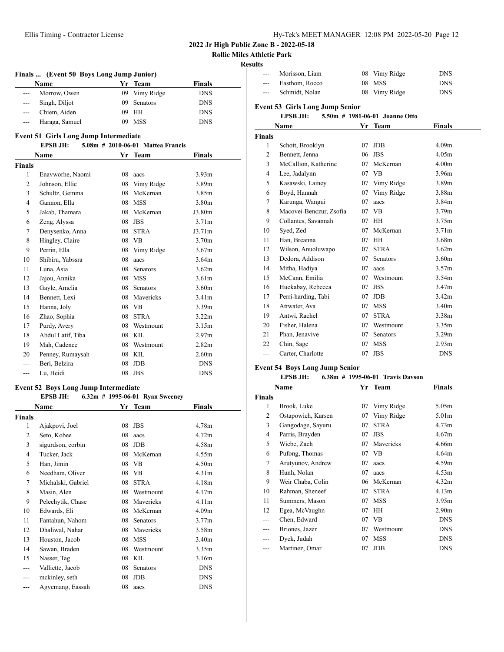|  | Hy-Tek's MEET MANAGER 12:08 PM 2022-05-20 Page 12 |  |  |  |
|--|---------------------------------------------------|--|--|--|
|--|---------------------------------------------------|--|--|--|

**Rollie Miles Athletic Park**

## **Results**

| Finals  (Event 50 Boys Long Jump Junior) |                |     |                 |               |  |
|------------------------------------------|----------------|-----|-----------------|---------------|--|
|                                          | Name           |     | Yr Team         | <b>Finals</b> |  |
| $---$                                    | Morrow, Owen   |     | 09 Vimy Ridge   | <b>DNS</b>    |  |
| $---$                                    | Singh, Diljot  | 09. | <b>Senators</b> | <b>DNS</b>    |  |
| $---$                                    | Chiem, Aiden   |     | 09 HH           | <b>DNS</b>    |  |
|                                          | Haraga, Samuel | 09  | <b>MSS</b>      | <b>DNS</b>    |  |

# **Event 51 Girls Long Jump Intermediate**

## **EPSB JH: 5.08m # 2010-06-01 Mattea Francis**

| Name           |                   | Yr | Team        | <b>Finals</b>     |
|----------------|-------------------|----|-------------|-------------------|
| <b>Finals</b>  |                   |    |             |                   |
| 1              | Enavworhe, Naomi  | 08 | aacs        | 3.93 <sub>m</sub> |
| $\overline{2}$ | Johnson, Ellie    | 08 | Vimy Ridge  | 3.89 <sub>m</sub> |
| 3              | Schultz, Gemma    | 08 | McKernan    | 3.85 <sub>m</sub> |
| $\overline{4}$ | Gannon, Ella      | 08 | <b>MSS</b>  | 3.80 <sub>m</sub> |
| 5              | Jakab, Thamara    | 08 | McKernan    | J3.80m            |
| 6              | Zeng, Alyssa      | 08 | <b>JBS</b>  | 3.71 <sub>m</sub> |
| 7              | Denysenko, Anna   | 08 | <b>STRA</b> | J3.71m            |
| 8              | Hingley, Claire   | 08 | <b>VB</b>   | 3.70 <sub>m</sub> |
| 9              | Perrin, Ella      | 08 | Vimy Ridge  | 3.67 <sub>m</sub> |
| 10             | Shibiru, Yabssra  | 08 | aacs        | 3.64m             |
| 11             | Luna, Asia        | 08 | Senators    | 3.62m             |
| 12             | Jajou, Annika     | 08 | <b>MSS</b>  | 3.61 <sub>m</sub> |
| 13             | Gayle, Amelia     | 08 | Senators    | 3.60 <sub>m</sub> |
| 14             | Bennett, Lexi     | 08 | Mavericks   | 3.41 <sub>m</sub> |
| 15             | Hanna, Joly       | 08 | <b>VB</b>   | 3.39 <sub>m</sub> |
| 16             | Zhao, Sophia      | 08 | <b>STRA</b> | 3.22m             |
| 17             | Purdy, Avery      | 08 | Westmount   | 3.15m             |
| 18             | Abdul Latif, Tiba | 08 | <b>KIL</b>  | 2.97 <sub>m</sub> |
| 19             | Mah, Cadence      | 08 | Westmount   | 2.82 <sub>m</sub> |
| 20             | Penney, Rumaysah  | 08 | <b>KIL</b>  | 2.60 <sub>m</sub> |
|                | Beri, Belzira     | 08 | <b>JDB</b>  | <b>DNS</b>        |
| ---            | Lu. Heidi         | 08 | <b>JBS</b>  | <b>DNS</b>        |

## **Event 52 Boys Long Jump Intermediate**

#### **EPSB JH: 6.32m # 1995-06-01 Ryan Sweeney**

|                | Name               |    | Yr Team         | Finals            |
|----------------|--------------------|----|-----------------|-------------------|
| <b>Finals</b>  |                    |    |                 |                   |
| 1              | Ajakpovi, Joel     | 08 | <b>JBS</b>      | 4.78m             |
| $\overline{2}$ | Seto, Kobee        | 08 | aacs            | 4.72m             |
| 3              | sigurdson, corbin  | 08 | JDB             | 4.58m             |
| 4              | Tucker, Jack       | 08 | McKernan        | 4.55m             |
| 5              | Han, Jimin         | 08 | VB              | 4.50 <sub>m</sub> |
| 6              | Needham, Oliver    | 08 | VB              | 4.31 <sub>m</sub> |
| 7              | Michalski, Gabriel | 08 | <b>STRA</b>     | 4.18m             |
| 8              | Masin, Alen        | 08 | Westmount       | 4.17m             |
| 9              | Pelechytik, Chase  | 08 | Mavericks       | 4.11m             |
| 10             | Edwards, Eli       | 08 | McKernan        | 4.09 <sub>m</sub> |
| 11             | Fantahun, Nahom    | 08 | <b>Senators</b> | 3.77m             |
| 12             | Dhaliwal, Nahar    | 08 | Mavericks       | 3.58m             |
| 13             | Houston, Jacob     | 08 | <b>MSS</b>      | 3.40m             |
| 14             | Sawan, Braden      | 08 | Westmount       | 3.35 <sub>m</sub> |
| 15             | Nasser, Tag        | 08 | KIL             | 3.16m             |
|                | Valliette, Jacob   | 08 | Senators        | <b>DNS</b>        |
|                | mckinley, seth     | 08 | JDB             | <b>DNS</b>        |
|                | Agyemang, Eassah   | 08 | aacs            | <b>DNS</b>        |

| ulto                                              |                                        |     |               |                   |  |  |  |  |  |
|---------------------------------------------------|----------------------------------------|-----|---------------|-------------------|--|--|--|--|--|
|                                                   | Morisson, Liam                         | 08  | Vimy Ridge    | <b>DNS</b>        |  |  |  |  |  |
| ---                                               | Easthom, Rocco                         | 08  | <b>MSS</b>    | <b>DNS</b>        |  |  |  |  |  |
| ---                                               | Schmidt, Nolan                         |     | 08 Vimy Ridge | <b>DNS</b>        |  |  |  |  |  |
|                                                   |                                        |     |               |                   |  |  |  |  |  |
|                                                   | <b>Event 53 Girls Long Jump Senior</b> |     |               |                   |  |  |  |  |  |
| <b>EPSB JH:</b><br>5.50m # 1981-06-01 Joanne Otto |                                        |     |               |                   |  |  |  |  |  |
|                                                   | Name                                   |     | Yr Team       | Finals            |  |  |  |  |  |
| <b>Finals</b>                                     |                                        |     |               |                   |  |  |  |  |  |
| 1                                                 | Schott, Brooklyn                       | 07  | <b>JDB</b>    | 4.09 <sub>m</sub> |  |  |  |  |  |
| $\overline{c}$                                    | Bennett, Jenna                         | 06  | <b>JBS</b>    | 4.05m             |  |  |  |  |  |
| 3                                                 | McCallion, Katherine                   | 07  | McKernan      | 4.00 <sub>m</sub> |  |  |  |  |  |
| 4                                                 | Lee, Jadalynn                          |     | 07 VB         | 3.96m             |  |  |  |  |  |
| 5                                                 | Kasawski, Lainey                       |     | 07 Vimy Ridge | 3.89 <sub>m</sub> |  |  |  |  |  |
| 6                                                 | Boyd, Hannah                           | 07  | Vimy Ridge    | 3.88m             |  |  |  |  |  |
| 7                                                 | Karunga, Wangui                        | 07  | aacs          | 3.84 <sub>m</sub> |  |  |  |  |  |
| 8                                                 | Macovei-Benczur, Zsofia                |     | 07 VB         | 3.79 <sub>m</sub> |  |  |  |  |  |
| 9                                                 | Collantes, Savannah                    | 07  | HH            | 3.75m             |  |  |  |  |  |
| 10                                                | Syed, Zed                              | 07  | McKernan      | 3.71 <sub>m</sub> |  |  |  |  |  |
| 11                                                | Han, Breanna                           | 07  | <b>HH</b>     | 3.68m             |  |  |  |  |  |
| 12                                                | Wilson, Anuoluwapo                     | 07  | <b>STRA</b>   | 3.62m             |  |  |  |  |  |
| 13                                                | Dedora, Addison                        | 07. | Senators      | 3.60 <sub>m</sub> |  |  |  |  |  |
| 14                                                | Mitha, Hadiya                          | 07  | aacs          | 3.57 <sub>m</sub> |  |  |  |  |  |
| 15                                                | McCann, Emilia                         | 07  | Westmount     | 3.54m             |  |  |  |  |  |
| 16                                                | Huckabay, Rebecca                      | 07  | <b>JBS</b>    | 3.47m             |  |  |  |  |  |
| 17                                                | Perri-harding, Tabi                    | 07  | <b>JDB</b>    | 3.42 <sub>m</sub> |  |  |  |  |  |
| 18                                                | Attwater, Ava                          | 07  | <b>MSS</b>    | 3.40m             |  |  |  |  |  |
| 19                                                | Antwi, Rachel                          | 07  | <b>STRA</b>   | 3.38m             |  |  |  |  |  |
| 20                                                | Fisher, Halena                         | 07. | Westmount     | 3.35m             |  |  |  |  |  |
| 21                                                | Phan, Jenavive                         | 07  | Senators      | 3.29m             |  |  |  |  |  |
| 22                                                | Chin, Sage                             | 07  | <b>MSS</b>    | 2.93 <sub>m</sub> |  |  |  |  |  |
| ---                                               | Carter, Charlotte                      | 07  | <b>JBS</b>    | <b>DNS</b>        |  |  |  |  |  |
|                                                   |                                        |     |               |                   |  |  |  |  |  |

## **Event 54 Boys Long Jump Senior**

#### **EPSB JH: 6.38m # 1995-06-01 Travis Davson**

|                | Name               | Yr | <b>Team</b> | <b>Finals</b>     |
|----------------|--------------------|----|-------------|-------------------|
| <b>Finals</b>  |                    |    |             |                   |
| 1              | Brook, Luke        | 07 | Vimy Ridge  | 5.05 <sub>m</sub> |
| $\overline{c}$ | Ostapowich, Karsen | 07 | Vimy Ridge  | 5.01 <sub>m</sub> |
| 3              | Gangodage, Sayuru  | 07 | <b>STRA</b> | 4.73 <sub>m</sub> |
| 4              | Parris, Brayden    | 07 | <b>JBS</b>  | 4.67 <sub>m</sub> |
| 5              | Wiebe, Zach        | 07 | Mavericks   | 4.66m             |
| 6              | Pufong, Thomas     | 07 | VB          | 4.64 <sub>m</sub> |
| 7              | Arutyunov, Andrew  | 07 | aacs        | 4.59m             |
| 8              | Hunh, Nolan        | 07 | aacs        | 4.53m             |
| 9              | Weir Chaba, Colin  | 06 | McKernan    | 4.32m             |
| 10             | Rahman, Sheneef    | 07 | <b>STRA</b> | 4.13m             |
| 11             | Summers, Mason     | 07 | <b>MSS</b>  | 3.95 <sub>m</sub> |
| 12             | Egea, McVaughn     | 07 | HH          | 2.90 <sub>m</sub> |
|                | Chen, Edward       | 07 | VВ          | <b>DNS</b>        |
|                | Briones, Jazer     | 07 | Westmount   | <b>DNS</b>        |
|                | Dyck, Judah        | 07 | <b>MSS</b>  | <b>DNS</b>        |
| ---            | Martinez, Omar     | 07 | <b>JDB</b>  | <b>DNS</b>        |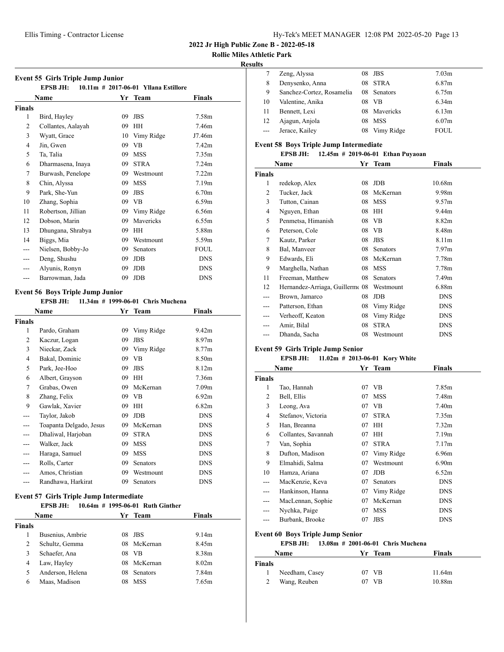#### **Rollie Miles Athletic Park**

#### **Results**

|                | <b>Event 55 Girls Triple Jump Junior</b> |    |                                      |                   |  |
|----------------|------------------------------------------|----|--------------------------------------|-------------------|--|
|                | <b>EPSB JH:</b>                          |    | 10.11m # 2017-06-01 Yllana Estillore |                   |  |
|                | Name                                     |    | Yr Team                              | Finals            |  |
| Finals         |                                          |    |                                      |                   |  |
| 1              | Bird, Hayley                             | 09 | <b>JBS</b>                           | 7.58m             |  |
| $\overline{2}$ | Collantes, Aalayah                       | 09 | <b>HH</b>                            | 7.46m             |  |
| 3              | Wyatt, Grace                             | 10 | Vimy Ridge                           | J7.46m            |  |
| $\overline{4}$ | Jin. Gwen                                | 09 | <b>VB</b>                            | 7.42m             |  |
| 5              | Ta, Talia                                | 09 | <b>MSS</b>                           | 7.35m             |  |
| 6              | Dharmasena, Inaya                        | 09 | <b>STRA</b>                          | 7.24m             |  |
| 7              | Burwash, Penelope                        | 09 | Westmount                            | 7.22m             |  |
| 8              | Chin, Alyssa                             | 09 | <b>MSS</b>                           | 7.19 <sub>m</sub> |  |
| 9              | Park, She-Yun                            | 09 | <b>JBS</b>                           | 6.70m             |  |
| 10             | Zhang, Sophia                            | 09 | <b>VB</b>                            | 6.59m             |  |
| 11             | Robertson, Jillian                       | 09 | Vimy Ridge                           | 6.56m             |  |
| 12             | Dobson, Marin                            | 09 | Mavericks                            | 6.55m             |  |
| 13             | Dhungana, Shrabya                        | 09 | <b>HH</b>                            | 5.88m             |  |
| 14             | Biggs, Mia                               | 09 | Westmount                            | 5.59m             |  |
|                | Nielsen, Bobby-Jo                        | 09 | <b>Senators</b>                      | <b>FOUL</b>       |  |
|                | Deng, Shushu                             | 09 | <b>JDB</b>                           | <b>DNS</b>        |  |
|                | Alyunis, Ronyn                           | 09 | <b>JDB</b>                           | <b>DNS</b>        |  |
| ---            | Barrowman, Jada                          | 09 | <b>JDB</b>                           | <b>DNS</b>        |  |

## **Event 56 Boys Triple Jump Junior**

#### **EPSB JH: 11.34m # 1999-06-01 Chris Muchena**

|                | Name<br>Yr Team         |    | Finals          |                   |
|----------------|-------------------------|----|-----------------|-------------------|
| Finals         |                         |    |                 |                   |
| 1              | Pardo, Graham           | 09 | Vimy Ridge      | 9.42 <sub>m</sub> |
| 2              | Kaczur, Logan           | 09 | JBS             | 8.97 <sub>m</sub> |
| 3              | Nieckar, Zack           | 09 | Vimy Ridge      | 8.77 <sub>m</sub> |
| $\overline{4}$ | Bakal, Dominic          | 09 | VВ              | 8.50 <sub>m</sub> |
| 5              | Park, Jee-Hoo           | 09 | JBS             | 8.12m             |
| 6              | Albert, Grayson         | 09 | HH              | 7.36m             |
| 7              | Grabas, Owen            | 09 | McKernan        | 7.09 <sub>m</sub> |
| 8              | Zhang, Felix            | 09 | VВ              | 6.92m             |
| 9              | Gawlak, Xavier          | 09 | HH              | 6.82m             |
|                | Taylor, Jakob           | 09 | <b>JDB</b>      | <b>DNS</b>        |
|                | Toapanta Delgado, Jesus | 09 | McKernan        | <b>DNS</b>        |
|                | Dhaliwal, Harjoban      | 09 | <b>STRA</b>     | <b>DNS</b>        |
|                | Walker, Jack            | 09 | <b>MSS</b>      | <b>DNS</b>        |
|                | Haraga, Samuel          | 09 | <b>MSS</b>      | <b>DNS</b>        |
|                | Rolls, Carter           | 09 | Senators        | <b>DNS</b>        |
|                | Amos, Christian         | 09 | Westmount       | <b>DNS</b>        |
|                | Randhawa, Harkirat      | 09 | <b>Senators</b> | <b>DNS</b>        |

## **Event 57 Girls Triple Jump Intermediate**

#### **EPSB JH: 10.64m # 1995-06-01 Ruth Ginther**

| Name          |                  |    | Yr Team         | <b>Finals</b>     |  |
|---------------|------------------|----|-----------------|-------------------|--|
| <b>Finals</b> |                  |    |                 |                   |  |
|               | Busenius, Ambrie |    | $08$ JBS        | 9.14 <sub>m</sub> |  |
| 2             | Schultz, Gemma   |    | 08 McKernan     | 8.45m             |  |
| 3             | Schaefer, Ana    | 08 | VB              | 8.38m             |  |
| 4             | Law, Hayley      |    | 08 McKernan     | 8.02 <sub>m</sub> |  |
| 5             | Anderson, Helena | 08 | <b>Senators</b> | 7.84m             |  |
| 6             | Maas, Madison    | 08 | <b>MSS</b>      | 7.65m             |  |

|         | Zeng, Alyssa              | 08 | JBS             | 7.03 <sub>m</sub> |
|---------|---------------------------|----|-----------------|-------------------|
| 8       | Denysenko, Anna           | 08 | <b>STRA</b>     | 6.87m             |
| 9       | Sanchez-Cortez, Rosamelia | 08 | <b>Senators</b> | 6.75m             |
| 10      | Valentine, Anika          | 08 | <b>VB</b>       | 6.34m             |
| 11      | Bennett, Lexi             |    | 08 Mavericks    | 6.13m             |
| 12      | Ajagun, Anjola            | 08 | <b>MSS</b>      | 6.07 <sub>m</sub> |
| $- - -$ | Jerace, Kailey            | 08 | Vimy Ridge      | <b>FOUL</b>       |
|         |                           |    |                 |                   |

## **Event 58 Boys Triple Jump Intermediate**

**EPSB JH: 12.45m # 2019-06-01 Ethan Puyaoan**

|                | Name                           | Yr | <b>Team</b> | Finals            |
|----------------|--------------------------------|----|-------------|-------------------|
| <b>Finals</b>  |                                |    |             |                   |
| 1              | redekop, Alex                  | 08 | <b>JDB</b>  | 10.68m            |
| $\overline{c}$ | Tucker, Jack                   | 08 | McKernan    | 9.98m             |
| 3              | Tutton, Cainan                 | 08 | <b>MSS</b>  | 9.57m             |
| 4              | Nguyen, Ethan                  | 08 | HH          | 9.44m             |
| 5              | Penmetsa, Himanish             | 08 | VВ          | 8.82m             |
| 6              | Peterson, Cole                 | 08 | VВ          | 8.48m             |
| 7              | Kautz, Parker                  | 08 | <b>JBS</b>  | 8.11 <sub>m</sub> |
| 8              | Bal, Manveer                   | 08 | Senators    | 7.97 <sub>m</sub> |
| 9              | Edwards, Eli                   | 08 | McKernan    | 7.78m             |
| 9              | Marghella, Nathan              | 08 | <b>MSS</b>  | 7.78m             |
| 11             | Freeman, Matthew               | 08 | Senators    | 7.49m             |
| 12             | Hernandez-Arriaga, Guillerm 08 |    | Westmount   | 6.88m             |
| ---            | Brown, Jamarco                 | 08 | JDB         | <b>DNS</b>        |
|                | Patterson, Ethan               | 08 | Vimy Ridge  | <b>DNS</b>        |
|                | Verheoff, Keaton               | 08 | Vimy Ridge  | <b>DNS</b>        |
|                | Amir, Bilal                    | 08 | <b>STRA</b> | <b>DNS</b>        |
|                | Dhanda, Sacha                  | 08 | Westmount   | <b>DNS</b>        |
|                |                                |    |             |                   |

## **Event 59 Girls Triple Jump Senior**

# **EPSB JH: 11.02m # 2013-06-01 Kory White**

|        | Name                | Yr | <b>Team</b> | Finals            |
|--------|---------------------|----|-------------|-------------------|
| Finals |                     |    |             |                   |
| 1      | Tao, Hannah         | 07 | VB.         | 7.85m             |
| 2      | Bell, Ellis         | 07 | <b>MSS</b>  | 7.48m             |
| 3      | Leong, Ava          | 07 | VB          | 7.40m             |
| 4      | Stefanov, Victoria  | 07 | <b>STRA</b> | 7.35m             |
| 5      | Han, Breanna        | 07 | HН          | 7.32 <sub>m</sub> |
| 6      | Collantes, Savannah | 07 | HН          | 7.19 <sub>m</sub> |
| 7      | Van, Sophia         | 07 | <b>STRA</b> | 7.17m             |
| 8      | Dufton, Madison     | 07 | Vimy Ridge  | 6.96m             |
| 9      | Elmahidi, Salma     | 07 | Westmount   | 6.90 <sub>m</sub> |
| 10     | Hamza, Ariana       | 07 | JDB         | 6.52m             |
| ---    | MacKenzie, Keva     | 07 | Senators    | <b>DNS</b>        |
| ---    | Hankinson, Hanna    | 07 | Vimy Ridge  | <b>DNS</b>        |
| ---    | MacLennan, Sophie   | 07 | McKernan    | <b>DNS</b>        |
|        | Nychka, Paige       | 07 | MSS         | <b>DNS</b>        |
| ---    | Burbank, Brooke     | 07 | <b>JBS</b>  | <b>DNS</b>        |

## **Event 60 Boys Triple Jump Senior**

#### **EPSB JH: 13.08m # 2001-06-01 Chris Muchena**

| Name           | Yr Team | <b>Finals</b> |  |
|----------------|---------|---------------|--|
| <b>Finals</b>  |         |               |  |
| Needham, Casey | 07 VB   | 11.64m        |  |
| Wang, Reuben   | VВ      | 10.88m        |  |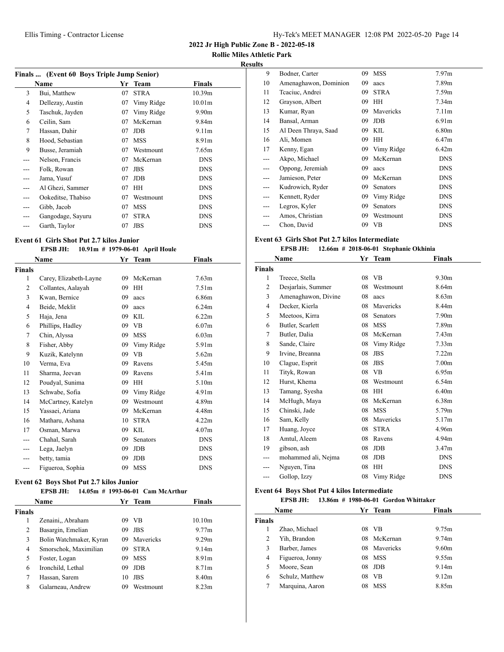**2022 Jr High Public Zone B - 2022-05-18**

**Rollie Miles Athletic Park**

## **Results**

| Finals  (Event 60 Boys Triple Jump Senior) |                    |    |             |                    |  |  |
|--------------------------------------------|--------------------|----|-------------|--------------------|--|--|
|                                            | Name               | Yr | Team        | <b>Finals</b>      |  |  |
| 3                                          | Bui, Matthew       | 07 | <b>STRA</b> | 10.39m             |  |  |
| 4                                          | Dellezay, Austin   | 07 | Vimy Ridge  | 10.01 <sub>m</sub> |  |  |
| 5                                          | Taschuk, Jayden    | 07 | Vimy Ridge  | 9.90 <sub>m</sub>  |  |  |
| 6                                          | Ceilin, Sam        | 07 | McKernan    | 9.84m              |  |  |
| 7                                          | Hassan, Dahir      | 07 | <b>JDB</b>  | 9.11 <sub>m</sub>  |  |  |
| 8                                          | Hood, Sebastian    | 07 | <b>MSS</b>  | 8.91 <sub>m</sub>  |  |  |
| 9                                          | Busse, Jeramiah    | 07 | Westmount   | 7.65m              |  |  |
|                                            | Nelson, Francis    | 07 | McKernan    | <b>DNS</b>         |  |  |
|                                            | Folk, Rowan        | 07 | <b>JBS</b>  | <b>DNS</b>         |  |  |
|                                            | Jama, Yusuf        | 07 | <b>JDB</b>  | <b>DNS</b>         |  |  |
| ---                                        | Al Ghezi, Sammer   | 07 | HH          | <b>DNS</b>         |  |  |
|                                            | Ookeditse, Thabiso | 07 | Westmount   | <b>DNS</b>         |  |  |
| ---                                        | Gibb, Jacob        | 07 | <b>MSS</b>  | <b>DNS</b>         |  |  |
|                                            | Gangodage, Sayuru  | 07 | <b>STRA</b> | <b>DNS</b>         |  |  |
| ---                                        | Garth, Taylor      | 07 | <b>JBS</b>  | <b>DNS</b>         |  |  |

# **Event 61 Girls Shot Put 2.7 kilos Junior**

#### **EPSB JH: 10.91m # 1979-06-01 April Houle**

|                | Name                   | Yr | <b>Team</b> | Finals            |
|----------------|------------------------|----|-------------|-------------------|
| <b>Finals</b>  |                        |    |             |                   |
| 1              | Carey, Elizabeth-Layne | 09 | McKernan    | 7.63 <sub>m</sub> |
| $\overline{2}$ | Collantes, Aalayah     | 09 | <b>HH</b>   | 7.51 <sub>m</sub> |
| 3              | Kwan, Bernice          | 09 | aacs        | 6.86m             |
| $\overline{4}$ | Beide, Meklit          | 09 | aacs        | 6.24m             |
| 5              | Haja, Jena             | 09 | <b>KIL</b>  | 6.22m             |
| 6              | Phillips, Hadley       | 09 | <b>VB</b>   | 6.07 <sub>m</sub> |
| 7              | Chin, Alyssa           | 09 | <b>MSS</b>  | 6.03 <sub>m</sub> |
| 8              | Fisher, Abby           | 09 | Vimy Ridge  | 5.91m             |
| 9              | Kuzik, Katelynn        | 09 | <b>VB</b>   | 5.62m             |
| 10             | Verma, Eva             | 09 | Ravens      | 5.45m             |
| 11             | Sharma, Jeevan         | 09 | Ravens      | 5.41m             |
| 12             | Poudyal, Sunima        | 09 | <b>HH</b>   | 5.10m             |
| 13             | Schwabe, Sofia         | 09 | Vimy Ridge  | 4.91 <sub>m</sub> |
| 14             | McCartney, Katelyn     | 09 | Westmount   | 4.89 <sub>m</sub> |
| 15             | Yassaei, Ariana        | 09 | McKernan    | 4.48m             |
| 16             | Matharu, Ashana        | 10 | <b>STRA</b> | 4.22m             |
| 17             | Osman, Marwa           | 09 | KIL         | 4.07 <sub>m</sub> |
|                | Chahal, Sarah          | 09 | Senators    | <b>DNS</b>        |
|                | Lega, Jaelyn           | 09 | <b>JDB</b>  | <b>DNS</b>        |
| ---            | betty, tamia           | 09 | <b>JDB</b>  | <b>DNS</b>        |
| ---            | Figueroa, Sophia       | 09 | <b>MSS</b>  | <b>DNS</b>        |
|                |                        |    |             |                   |

#### **Event 62 Boys Shot Put 2.7 kilos Junior**

#### **EPSB JH: 14.05m # 1993-06-01 Cam McArthur**

|        | <b>Name</b>             |    | Yr Team     | Finals             |  |
|--------|-------------------------|----|-------------|--------------------|--|
| Finals |                         |    |             |                    |  |
| 1      | Zenaini., Abraham       | 09 | - VB        | 10.10 <sub>m</sub> |  |
| 2      | Basargin, Emelian       | 09 | <b>JBS</b>  | 9.77m              |  |
| 3      | Bolin Watchmaker, Kyran | 09 | Mavericks   | 9.29m              |  |
| 4      | Smorschok, Maximilian   | 09 | <b>STRA</b> | 9.14m              |  |
| 5      | Foster, Logan           | 09 | <b>MSS</b>  | 8.91 <sub>m</sub>  |  |
| 6      | Ironchild, Lethal       | 09 | <b>JDB</b>  | 8.71 <sub>m</sub>  |  |
| 7      | Hassan, Sarem           | 10 | <b>JBS</b>  | 8.40 <sub>m</sub>  |  |
| 8      | Galarneau, Andrew       | 09 | Westmount   | 8.23 <sub>m</sub>  |  |
|        |                         |    |             |                    |  |

| 9   | Bodner, Carter        | 09 | <b>MSS</b>  | 7.97 <sub>m</sub> |
|-----|-----------------------|----|-------------|-------------------|
| 10  | Amenaghawon, Dominion | 09 | aacs        | 7.89m             |
| 11  | Teaciuc, Andrei       | 09 | <b>STRA</b> | 7.59m             |
| 12  | Grayson, Albert       | 09 | HH          | 7.34 <sub>m</sub> |
| 13  | Kumar, Ryan           | 09 | Mavericks   | 7.11m             |
| 14  | Bansal, Arman         | 09 | <b>JDB</b>  | 6.91 <sub>m</sub> |
| 15  | Al Deen Thraya, Saad  | 09 | KIL         | 6.80 <sub>m</sub> |
| 16  | Ali, Momen            | 09 | HН          | 6.47 <sub>m</sub> |
| 17  | Kenny, Egan           | 09 | Vimy Ridge  | 6.42m             |
|     | Akpo, Michael         | 09 | McKernan    | <b>DNS</b>        |
|     | Oppong, Jeremiah      | 09 | aacs        | <b>DNS</b>        |
| --- | Jamieson, Peter       | 09 | McKernan    | <b>DNS</b>        |
| --- | Kudrowich, Ryder      | 09 | Senators    | <b>DNS</b>        |
| --- | Kennett, Ryder        | 09 | Vimy Ridge  | <b>DNS</b>        |
|     | Legros, Kyler         | 09 | Senators    | <b>DNS</b>        |
|     | Amos, Christian       | 09 | Westmount   | <b>DNS</b>        |
|     | Chon, David           |    | 09 VB       | <b>DNS</b>        |

## **Event 63 Girls Shot Put 2.7 kilos Intermediate**

#### **EPSB JH: 12.66m # 2018-06-01 Stephanie Okhinia**

|               | Name                | Yr | Team        | Finals            |  |
|---------------|---------------------|----|-------------|-------------------|--|
| <b>Finals</b> |                     |    |             |                   |  |
| 1             | Treece, Stella      | 08 | VB          | 9.30 <sub>m</sub> |  |
| 2             | Desjarlais, Summer  | 08 | Westmount   | 8.64m             |  |
| 3             | Amenaghawon, Divine | 08 | aacs        | 8.63 <sub>m</sub> |  |
| 4             | Decker, Kierla      | 08 | Mavericks   | 8.44m             |  |
| 5             | Meetoos, Kirra      | 08 | Senators    | 7.90 <sub>m</sub> |  |
| 6             | Butler, Scarlett    | 08 | <b>MSS</b>  | 7.89m             |  |
| 7             | Butler, Dalia       | 08 | McKernan    | 7.43 <sub>m</sub> |  |
| 8             | Sande, Claire       | 08 | Vimy Ridge  | 7.33 <sub>m</sub> |  |
| 9             | Irvine, Breanna     | 08 | <b>JBS</b>  | 7.22m             |  |
| 10            | Clague, Esprit      | 08 | <b>JBS</b>  | 7.00 <sub>m</sub> |  |
| 11            | Tityk, Rowan        | 08 | <b>VB</b>   | 6.95m             |  |
| 12            | Hurst, Khema        | 08 | Westmount   | 6.54m             |  |
| 13            | Tamang, Syesha      | 08 | HH          | 6.40 <sub>m</sub> |  |
| 14            | McHugh, Maya        | 08 | McKernan    | 6.38m             |  |
| 15            | Chinski, Jade       | 08 | <b>MSS</b>  | 5.79m             |  |
| 16            | Sam, Kelly          | 08 | Mavericks   | 5.17m             |  |
| 17            | Huang, Joyce        | 08 | <b>STRA</b> | 4.96m             |  |
| 18            | Amtul, Aleem        | 08 | Ravens      | 4.94m             |  |
| 19            | gibson, ash         | 08 | <b>JDB</b>  | 3.47 <sub>m</sub> |  |
| ---           | mohammed ali, Nejma | 08 | <b>JDB</b>  | <b>DNS</b>        |  |
| ---           | Nguyen, Tina        | 08 | HH          | <b>DNS</b>        |  |
| ---           | Gollop, Izzy        | 08 | Vimy Ridge  | <b>DNS</b>        |  |

#### **Event 64 Boys Shot Put 4 kilos Intermediate**

| EPSB JH: |  | 13.86m # 1980-06-01 Gordon Whittaker |  |
|----------|--|--------------------------------------|--|
|          |  |                                      |  |

| <b>Name</b>   |                 |     | Yr Team      | <b>Finals</b>     |
|---------------|-----------------|-----|--------------|-------------------|
| <b>Finals</b> |                 |     |              |                   |
|               | Zhao, Michael   | 08. | - VB         | 9.75m             |
| 2             | Yih, Brandon    |     | 08 McKernan  | 9.74m             |
| 3             | Barber, James   |     | 08 Mavericks | 9.60 <sub>m</sub> |
| 4             | Figueroa, Jonny | 08  | <b>MSS</b>   | 9.55m             |
| 5             | Moore, Sean     | 08  | <b>JDB</b>   | 9.14m             |
| 6             | Schulz, Matthew | 08  | <b>VB</b>    | 9.12m             |
| 7             | Marquina, Aaron | 08  | <b>MSS</b>   | 8.85m             |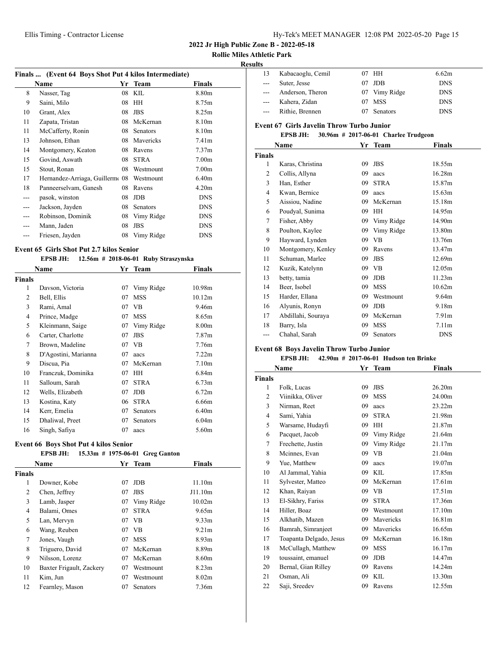**2022 Jr High Public Zone B - 2022-05-18**

# **Rollie Miles Athletic Park**

## **Results**

|     | Finals  (Event 64 Boys Shot Put 4 kilos Intermediate) |    |                 |                   |  |
|-----|-------------------------------------------------------|----|-----------------|-------------------|--|
|     | Name                                                  | Yr | <b>Team</b>     | Finals            |  |
| 8   | Nasser, Tag                                           | 08 | KIL             | 8.80m             |  |
| 9   | Saini, Milo                                           | 08 | HH              | 8.75m             |  |
| 10  | Grant, Alex                                           | 08 | <b>JBS</b>      | 8.25m             |  |
| 11  | Zapata, Tristan                                       | 08 | McKernan        | 8.10m             |  |
| 11  | McCafferty, Ronin                                     | 08 | <b>Senators</b> | 8.10m             |  |
| 13  | Johnson, Ethan                                        | 08 | Mavericks       | 7.41 <sub>m</sub> |  |
| 14  | Montgomery, Keaton                                    | 08 | Ravens          | 7.37 <sub>m</sub> |  |
| 15  | Govind, Aswath                                        | 08 | <b>STRA</b>     | 7.00 <sub>m</sub> |  |
| 15  | Stout, Ronan                                          | 08 | Westmount       | 7.00 <sub>m</sub> |  |
| 17  | Hernandez-Arriaga, Guillermo 08                       |    | Westmount       | 6.40 <sub>m</sub> |  |
| 18  | Panneerselvam, Ganesh                                 | 08 | Ravens          | 4.20m             |  |
| --- | pasok, winston                                        | 08 | <b>JDB</b>      | <b>DNS</b>        |  |
| --- | Jackson, Jayden                                       | 08 | <b>Senators</b> | <b>DNS</b>        |  |
| --- | Robinson, Dominik                                     | 08 | Vimy Ridge      | <b>DNS</b>        |  |
| --- | Mann, Jaden                                           | 08 | <b>JBS</b>      | <b>DNS</b>        |  |
|     | Friesen, Jayden                                       | 08 | Vimy Ridge      | <b>DNS</b>        |  |
|     |                                                       |    |                 |                   |  |

#### **Event 65 Girls Shot Put 2.7 kilos Senior**

|        | EPSB JH:             |    | $12.56m$ # 2018-06-01 Ruby Straszynska |                   |
|--------|----------------------|----|----------------------------------------|-------------------|
|        | Name                 | Yr | Team                                   | Finals            |
| Finals |                      |    |                                        |                   |
| 1      | Davson, Victoria     | 07 | Vimy Ridge                             | 10.98m            |
| 2      | Bell, Ellis          | 07 | <b>MSS</b>                             | 10.12m            |
| 3      | Rami, Amal           | 07 | VB                                     | 9.46m             |
| 4      | Prince, Madge        | 07 | <b>MSS</b>                             | 8.65m             |
| 5      | Kleinmann, Saige     | 07 | Vimy Ridge                             | 8.00 <sub>m</sub> |
| 6      | Carter, Charlotte    | 07 | <b>JBS</b>                             | 7.87 <sub>m</sub> |
| 7      | Brown, Madeline      | 07 | VB                                     | 7.76m             |
| 8      | D'Agostini, Marianna | 07 | aacs                                   | 7.22m             |
| 9      | Discua, Pia          | 07 | McKernan                               | 7.10 <sub>m</sub> |
| 10     | Franczuk, Dominika   | 07 | HН                                     | 6.84m             |
| 11     | Salloum, Sarah       | 07 | <b>STRA</b>                            | 6.73 <sub>m</sub> |
| 12     | Wells, Elizabeth     | 07 | <b>JDB</b>                             | 6.72m             |
| 13     | Kostina, Katy        | 06 | <b>STRA</b>                            | 6.66m             |
| 14     | Kerr, Emelia         | 07 | <b>Senators</b>                        | 6.40 <sub>m</sub> |
| 15     | Dhaliwal, Preet      | 07 | Senators                               | 6.04 <sub>m</sub> |
| 16     | Singh, Safiya        | 07 | aacs                                   | 5.60m             |

#### **Event 66 Boys Shot Put 4 kilos Senior**

# **EPSB JH: 15.33m # 1975-06-01 Greg Ganton**

| Name          |                          |    | Yr Team     | <b>Finals</b>     |  |
|---------------|--------------------------|----|-------------|-------------------|--|
| <b>Finals</b> |                          |    |             |                   |  |
| 1             | Downer, Kobe             | 07 | JDB         | 11.10m            |  |
| 2             | Chen, Jeffrey            | 07 | <b>JBS</b>  | J11.10m           |  |
| 3             | Lamb, Jasper             | 07 | Vimy Ridge  | 10.02m            |  |
| 4             | Balami, Omes             | 07 | <b>STRA</b> | 9.65m             |  |
| 5             | Lan, Mervyn              | 07 | <b>VB</b>   | 9.33 <sub>m</sub> |  |
| 6             | Wang, Reuben             | 07 | VB.         | 9.21 <sub>m</sub> |  |
| 7             | Jones, Vaugh             | 07 | <b>MSS</b>  | 8.93 <sub>m</sub> |  |
| 8             | Triguero, David          | 07 | McKernan    | 8.89m             |  |
| 9             | Nilsson, Lorenz          | 07 | McKernan    | 8.60 <sub>m</sub> |  |
| 10            | Baxter Frigault, Zackery | 07 | Westmount   | 8.23 <sub>m</sub> |  |
| 11            | Kim, Jun                 | 07 | Westmount   | 8.02 <sub>m</sub> |  |
| 12            | Fearnley, Mason          | 07 | Senators    | 7.36m             |  |

| IIts                                             |                   |    |                 |            |  |
|--------------------------------------------------|-------------------|----|-----------------|------------|--|
| 13                                               | Kabacaoglu, Cemil |    | 07 HH           | 6.62m      |  |
| $\qquad \qquad -$                                | Suter, Jesse      | 07 | <b>JDB</b>      | <b>DNS</b> |  |
|                                                  | Anderson, Theron  |    | 07 Vimy Ridge   | <b>DNS</b> |  |
|                                                  | Kahera, Zidan     | 07 | <b>MSS</b>      | <b>DNS</b> |  |
| $---$                                            | Rithie, Brennen   | 07 | <b>Senators</b> | <b>DNS</b> |  |
| <b>Event 67 Girls Javelin Throw Turbo Junior</b> |                   |    |                 |            |  |

# **EPSB JH: 30.96m # 2017-06-01 Charlee Trudgeon**

|               | Name               | Yr | <b>Team</b> | <b>Finals</b>     |
|---------------|--------------------|----|-------------|-------------------|
| <b>Finals</b> |                    |    |             |                   |
| 1             | Karas, Christina   | 09 | <b>JBS</b>  | 18.55m            |
| 2             | Collis, Allyna     | 09 | aacs        | 16.28m            |
| 3             | Han, Esther        | 09 | <b>STRA</b> | 15.87m            |
| 4             | Kwan, Bernice      | 09 | aacs        | 15.63m            |
| 5             | Aissiou, Nadine    | 09 | McKernan    | 15.18m            |
| 6             | Poudyal, Sunima    | 09 | HH          | 14.95m            |
| 7             | Fisher, Abby       | 09 | Vimy Ridge  | 14.90m            |
| 8             | Poulton, Kaylee    | 09 | Vimy Ridge  | 13.80m            |
| 9             | Hayward, Lynden    | 09 | VB          | 13.76m            |
| 10            | Montgomery, Kenley | 09 | Ravens      | 13.47m            |
| 11            | Schuman, Marlee    | 09 | <b>JBS</b>  | 12.69m            |
| 12            | Kuzik, Katelynn    | 09 | VB.         | 12.05m            |
| 13            | betty, tamia       | 09 | <b>JDB</b>  | 11.23m            |
| 14            | Beer, Isobel       | 09 | <b>MSS</b>  | 10.62m            |
| 15            | Harder, Ellana     | 09 | Westmount   | 9.64m             |
| 16            | Alyunis, Ronyn     | 09 | <b>JDB</b>  | 9.18m             |
| 17            | Abdillahi, Souraya | 09 | McKernan    | 7.91 <sub>m</sub> |
| 18            | Barry, Isla        | 09 | <b>MSS</b>  | 7.11 <sub>m</sub> |
| ---           | Chahal, Sarah      | 09 | Senators    | <b>DNS</b>        |

# **Event 68 Boys Javelin Throw Turbo Junior**

# **EPSB JH: 42.90m # 2017-06-01 Hudson ten Brinke**

| Name          |                         | Yr | <b>Team</b> | Finals |  |
|---------------|-------------------------|----|-------------|--------|--|
| <b>Finals</b> |                         |    |             |        |  |
| 1             | Folk, Lucas             | 09 | <b>JBS</b>  | 26.20m |  |
| 2             | Viinikka, Oliver        | 09 | <b>MSS</b>  | 24.00m |  |
| 3             | Nirman, Reet            | 09 | aacs        | 23.22m |  |
| 4             | Sami, Yahia             | 09 | <b>STRA</b> | 21.98m |  |
| 5             | Warsame, Hudayfi        | 09 | <b>HH</b>   | 21.87m |  |
| 6             | Pacquet, Jacob          | 09 | Vimy Ridge  | 21.64m |  |
| 7             | Frechette, Justin       | 09 | Vimy Ridge  | 21.17m |  |
| 8             | Mcinnes, Evan           | 09 | <b>VB</b>   | 21.04m |  |
| 9             | Yue, Matthew            | 09 | aacs        | 19.07m |  |
| 10            | Al Jammal, Yahia        | 09 | KIL         | 17.85m |  |
| 11            | Sylvester, Matteo       | 09 | McKernan    | 17.61m |  |
| 12            | Khan, Raiyan            | 09 | <b>VB</b>   | 17.51m |  |
| 13            | El-Sikhry, Fariss       | 09 | <b>STRA</b> | 17.36m |  |
| 14            | Hiller, Boaz            | 09 | Westmount   | 17.10m |  |
| 15            | Alkhatib, Mazen         | 09 | Mavericks   | 16.81m |  |
| 16            | Bamrah, Simranjeet      | 09 | Mavericks   | 16.65m |  |
| 17            | Toapanta Delgado, Jesus | 09 | McKernan    | 16.18m |  |
| 18            | McCullagh, Matthew      | 09 | <b>MSS</b>  | 16.17m |  |
| 19            | toussaint, emanuel      | 09 | <b>JDB</b>  | 14.47m |  |
| 20            | Bernal, Gian Rilley     | 09 | Ravens      | 14.24m |  |
| 21            | Osman, Ali              | 09 | <b>KIL</b>  | 13.30m |  |
| 22            | Saji, Sreedev           | 09 | Ravens      | 12.55m |  |